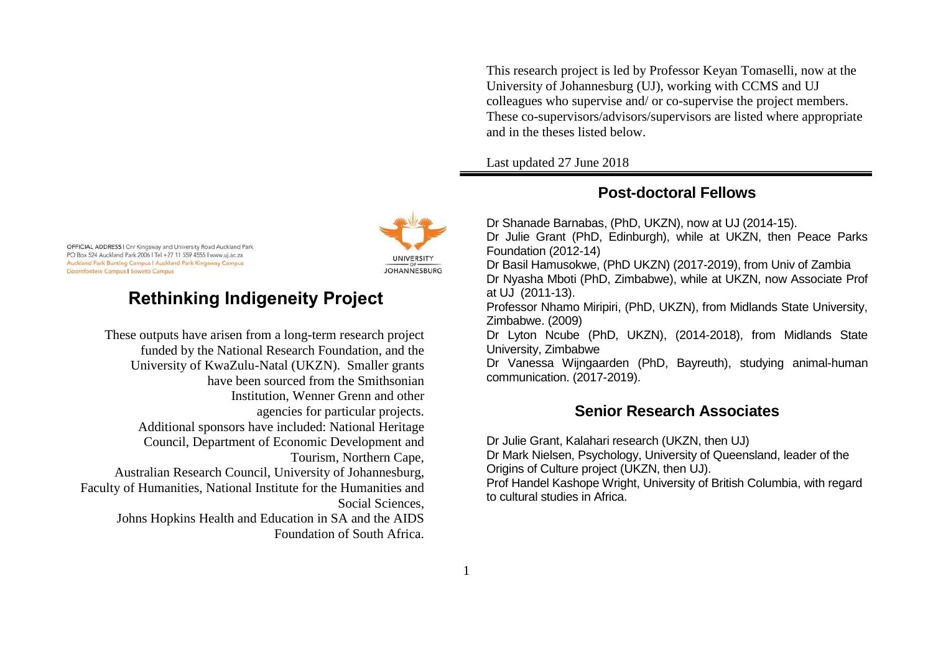OFFICIAL ADDRESS I Cnr Kingsway and University Road Auckland Park PO Box 524 Auckland Park 2006 | Tel +27 11 559 4555 | www.uj.ac.za Auckland Park Bunting Campus I Auckland Park Kingsway Campus Doornfontein Campus | Soweto Campus

# **Rethinking Indigeneity Project**

These outputs have arisen from a long-term research project funded by the National Research Foundation, and the University of KwaZulu-Natal (UKZN). Smaller grants have been sourced from the Smithsonian Institution, Wenner Grenn and other agencies for particular projects. Additional sponsors have included: National Heritage Council, Department of Economic Development and Tourism, Northern Cape, Australian Research Council, University of Johannesburg, Faculty of Humanities, National Institute for the Humanities and Social Sciences, Johns Hopkins Health and Education in SA and the AIDS Foundation of South Africa. This research project is led by Professor Keyan Tomaselli, now at the University of Johannesburg (UJ), working with CCMS and UJ colleagues who supervise and/ or co-supervise the project members. These co-supervisors/advisors/supervisors are listed where appropriate and in the theses listed below.

Last updated 27 June 2018

# **Post-doctoral Fellows**

Dr Shanade Barnabas, (PhD, UKZN), now at UJ (2014-15). Dr Julie Grant (PhD, Edinburgh), while at UKZN, then Peace Parks Foundation (2012-14) Dr Basil Hamusokwe, (PhD UKZN) (2017-2019), from Univ of Zambia

Dr Nyasha Mboti (PhD, Zimbabwe), while at UKZN, now Associate Prof at UJ (2011-13).

Professor Nhamo Miripiri, (PhD, UKZN), from Midlands State University, Zimbabwe. (2009)

Dr Lyton Ncube (PhD, UKZN), (2014-2018), from Midlands State University, Zimbabwe

Dr Vanessa Wijngaarden (PhD, Bayreuth), studying animal-human communication. (2017-2019).

# **Senior Research Associates**

Dr Julie Grant, Kalahari research (UKZN, then UJ) Dr Mark Nielsen, Psychology, University of Queensland, leader of the Origins of Culture project (UKZN, then UJ). Prof Handel Kashope Wright, University of British Columbia, with regard to cultural studies in Africa.

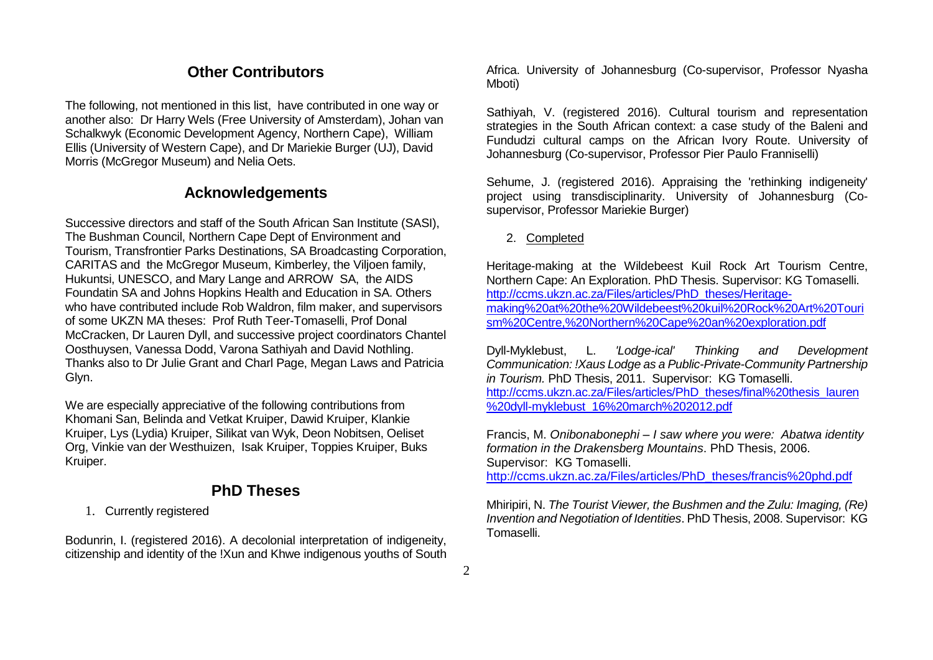## **Other Contributors**

The following, not mentioned in this list, have contributed in one way or another also: Dr Harry Wels (Free University of Amsterdam), Johan van Schalkwyk (Economic Development Agency, Northern Cape), William Ellis (University of Western Cape), and Dr Mariekie Burger (UJ), David Morris (McGregor Museum) and Nelia Oets.

### **Acknowledgements**

Successive directors and staff of the South African San Institute (SASI), The Bushman Council, Northern Cape Dept of Environment and Tourism, Transfrontier Parks Destinations, SA Broadcasting Corporation, CARITAS and the McGregor Museum, Kimberley, the Viljoen family, Hukuntsi, UNESCO, and Mary Lange and ARROW SA, the AIDS Foundatin SA and Johns Hopkins Health and Education in SA. Others who have contributed include Rob Waldron, film maker, and supervisors of some UKZN MA theses: Prof Ruth Teer-Tomaselli, Prof Donal McCracken, Dr Lauren Dyll, and successive project coordinators Chantel Oosthuysen, Vanessa Dodd, Varona Sathiyah and David Nothling. Thanks also to Dr Julie Grant and Charl Page, Megan Laws and Patricia Glyn.

We are especially appreciative of the following contributions from Khomani San, Belinda and Vetkat Kruiper, Dawid Kruiper, Klankie Kruiper, Lys (Lydia) Kruiper, Silikat van Wyk, Deon Nobitsen, Oeliset Org, Vinkie van der Westhuizen, Isak Kruiper, Toppies Kruiper, Buks Kruiper.

## **PhD Theses**

1. Currently registered

Bodunrin, I. (registered 2016). A decolonial interpretation of indigeneity, citizenship and identity of the !Xun and Khwe indigenous youths of South Africa. University of Johannesburg (Co-supervisor, Professor Nyasha Mboti)

Sathiyah, V. (registered 2016). Cultural tourism and representation strategies in the South African context: a case study of the Baleni and Fundudzi cultural camps on the African Ivory Route. University of Johannesburg (Co-supervisor, Professor Pier Paulo Franniselli)

Sehume, J. (registered 2016). Appraising the 'rethinking indigeneity' project using transdisciplinarity. University of Johannesburg (Cosupervisor, Professor Mariekie Burger)

#### 2. Completed

Heritage-making at the Wildebeest Kuil Rock Art Tourism Centre, Northern Cape: An Exploration. PhD Thesis. Supervisor: KG Tomaselli. [http://ccms.ukzn.ac.za/Files/articles/PhD\\_theses/Heritage](http://ccms.ukzn.ac.za/Files/articles/PhD_theses/Heritage-making%20at%20the%20Wildebeest%20kuil%20Rock%20Art%20Tourism%20Centre,%20Northern%20Cape%20an%20exploration.pdf)[making%20at%20the%20Wildebeest%20kuil%20Rock%20Art%20Touri](http://ccms.ukzn.ac.za/Files/articles/PhD_theses/Heritage-making%20at%20the%20Wildebeest%20kuil%20Rock%20Art%20Tourism%20Centre,%20Northern%20Cape%20an%20exploration.pdf) [sm%20Centre,%20Northern%20Cape%20an%20exploration.pdf](http://ccms.ukzn.ac.za/Files/articles/PhD_theses/Heritage-making%20at%20the%20Wildebeest%20kuil%20Rock%20Art%20Tourism%20Centre,%20Northern%20Cape%20an%20exploration.pdf)

Dyll-Myklebust, L. *'Lodge-ical' Thinking and Development Communication: !Xaus Lodge as a Public-Private-Community Partnership in Tourism.* PhD Thesis, 2011. Supervisor: KG Tomaselli. [http://ccms.ukzn.ac.za/Files/articles/PhD\\_theses/final%20thesis\\_lauren](http://ccms.ukzn.ac.za/Files/articles/PhD_theses/final%20thesis_lauren%20dyll-myklebust_16%20march%202012.pdf) [%20dyll-myklebust\\_16%20march%202012.pdf](http://ccms.ukzn.ac.za/Files/articles/PhD_theses/final%20thesis_lauren%20dyll-myklebust_16%20march%202012.pdf)

Francis, M. *Onibonabonephi – I saw where you were: Abatwa identity formation in the Drakensberg Mountains*. PhD Thesis, 2006. Supervisor: KG Tomaselli. [http://ccms.ukzn.ac.za/Files/articles/PhD\\_theses/francis%20phd.pdf](http://ccms.ukzn.ac.za/Files/articles/PhD_theses/francis%20phd.pdf)

Mhiripiri, N. *The Tourist Viewer, the Bushmen and the Zulu: Imaging, (Re) Invention and Negotiation of Identities*. PhD Thesis, 2008. Supervisor: KG Tomaselli.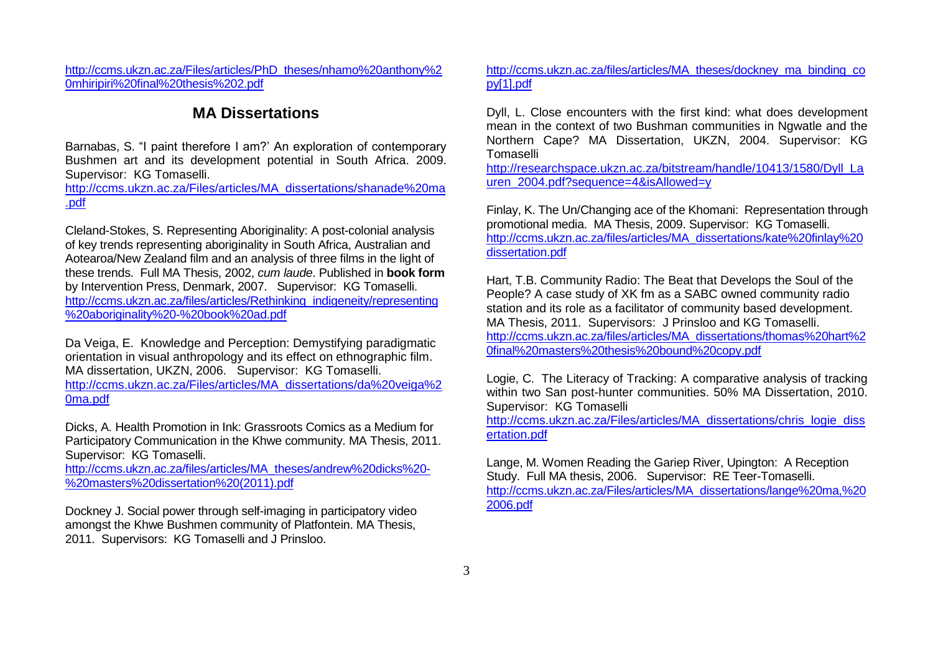[http://ccms.ukzn.ac.za/Files/articles/PhD\\_theses/nhamo%20anthony%2](http://ccms.ukzn.ac.za/Files/articles/PhD_theses/nhamo%20anthony%20mhiripiri%20final%20thesis%202.pdf) [0mhiripiri%20final%20thesis%202.pdf](http://ccms.ukzn.ac.za/Files/articles/PhD_theses/nhamo%20anthony%20mhiripiri%20final%20thesis%202.pdf)

## **MA Dissertations**

Barnabas, S. "I paint therefore I am?' An exploration of contemporary Bushmen art and its development potential in South Africa. 2009. Supervisor: KG Tomaselli.

[http://ccms.ukzn.ac.za/Files/articles/MA\\_dissertations/shanade%20ma](http://ccms.ukzn.ac.za/Files/articles/MA_dissertations/shanade%20ma.pdf) [.pdf](http://ccms.ukzn.ac.za/Files/articles/MA_dissertations/shanade%20ma.pdf)

Cleland-Stokes, S. Representing Aboriginality: A post-colonial analysis of key trends representing aboriginality in South Africa, Australian and Aotearoa/New Zealand film and an analysis of three films in the light of these trends. Full MA Thesis, 2002, *cum laude*. Published in **book form** by Intervention Press, Denmark, 2007. Supervisor: KG Tomaselli. [http://ccms.ukzn.ac.za/files/articles/Rethinking\\_indigeneity/representing](http://ccms.ukzn.ac.za/files/articles/Rethinking_indigeneity/representing%20aboriginality%20-%20book%20ad.pdf) [%20aboriginality%20-%20book%20ad.pdf](http://ccms.ukzn.ac.za/files/articles/Rethinking_indigeneity/representing%20aboriginality%20-%20book%20ad.pdf)

Da Veiga, E. Knowledge and Perception: Demystifying paradigmatic orientation in visual anthropology and its effect on ethnographic film. MA dissertation, UKZN, 2006. Supervisor: KG Tomaselli. [http://ccms.ukzn.ac.za/Files/articles/MA\\_dissertations/da%20veiga%2](http://ccms.ukzn.ac.za/Files/articles/MA_dissertations/da%20veiga%20ma.pdf) [0ma.pdf](http://ccms.ukzn.ac.za/Files/articles/MA_dissertations/da%20veiga%20ma.pdf)

Dicks, A. Health Promotion in Ink: Grassroots Comics as a Medium for Participatory Communication in the Khwe community. MA Thesis, 2011. Supervisor: KG Tomaselli.

[http://ccms.ukzn.ac.za/files/articles/MA\\_theses/andrew%20dicks%20-](http://ccms.ukzn.ac.za/files/articles/MA_theses/andrew%20dicks%20-%20masters%20dissertation%20(2011).pdf) [%20masters%20dissertation%20\(2011\).pdf](http://ccms.ukzn.ac.za/files/articles/MA_theses/andrew%20dicks%20-%20masters%20dissertation%20(2011).pdf)

Dockney J. Social power through self-imaging in participatory video amongst the Khwe Bushmen community of Platfontein. MA Thesis, 2011. Supervisors: KG Tomaselli and J Prinsloo.

[http://ccms.ukzn.ac.za/files/articles/MA\\_theses/dockney\\_ma\\_binding\\_co](http://ccms.ukzn.ac.za/files/articles/MA_theses/dockney_ma_binding_copy%5b1%5d.pdf) [py\[1\].pdf](http://ccms.ukzn.ac.za/files/articles/MA_theses/dockney_ma_binding_copy%5b1%5d.pdf)

Dyll, L. Close encounters with the first kind: what does development mean in the context of two Bushman communities in Ngwatle and the Northern Cape? MA Dissertation, UKZN, 2004. Supervisor: KG Tomaselli

[http://researchspace.ukzn.ac.za/bitstream/handle/10413/1580/Dyll\\_La](http://researchspace.ukzn.ac.za/bitstream/handle/10413/1580/Dyll_Lauren_2004.pdf?sequence=4&isAllowed=y) [uren\\_2004.pdf?sequence=4&isAllowed=y](http://researchspace.ukzn.ac.za/bitstream/handle/10413/1580/Dyll_Lauren_2004.pdf?sequence=4&isAllowed=y)

Finlay, K. The Un/Changing ace of the Khomani: Representation through promotional media. MA Thesis, 2009. Supervisor: KG Tomaselli. [http://ccms.ukzn.ac.za/files/articles/MA\\_dissertations/kate%20finlay%20](http://ccms.ukzn.ac.za/files/articles/MA_dissertations/kate%20finlay%20dissertation.pdf) [dissertation.pdf](http://ccms.ukzn.ac.za/files/articles/MA_dissertations/kate%20finlay%20dissertation.pdf)

Hart, T.B. Community Radio: The Beat that Develops the Soul of the People? A case study of XK fm as a SABC owned community radio station and its role as a facilitator of community based development. MA Thesis, 2011. Supervisors: J Prinsloo and KG Tomaselli. [http://ccms.ukzn.ac.za/files/articles/MA\\_dissertations/thomas%20hart%2](http://ccms.ukzn.ac.za/files/articles/MA_dissertations/thomas%20hart%20final%20masters%20thesis%20bound%20copy.pdf) [0final%20masters%20thesis%20bound%20copy.pdf](http://ccms.ukzn.ac.za/files/articles/MA_dissertations/thomas%20hart%20final%20masters%20thesis%20bound%20copy.pdf)

Logie, C. The Literacy of Tracking: A comparative analysis of tracking within two San post-hunter communities. 50% MA Dissertation, 2010. Supervisor: KG Tomaselli

[http://ccms.ukzn.ac.za/Files/articles/MA\\_dissertations/chris\\_logie\\_diss](http://ccms.ukzn.ac.za/Files/articles/MA_dissertations/chris_logie_dissertation.pdf) [ertation.pdf](http://ccms.ukzn.ac.za/Files/articles/MA_dissertations/chris_logie_dissertation.pdf)

Lange, M. Women Reading the Gariep River, Upington: A Reception Study. Full MA thesis, 2006. Supervisor: RE Teer-Tomaselli. [http://ccms.ukzn.ac.za/Files/articles/MA\\_dissertations/lange%20ma,%20](http://ccms.ukzn.ac.za/Files/articles/MA_dissertations/lange%20ma,%202006.pdf) [2006.pdf](http://ccms.ukzn.ac.za/Files/articles/MA_dissertations/lange%20ma,%202006.pdf)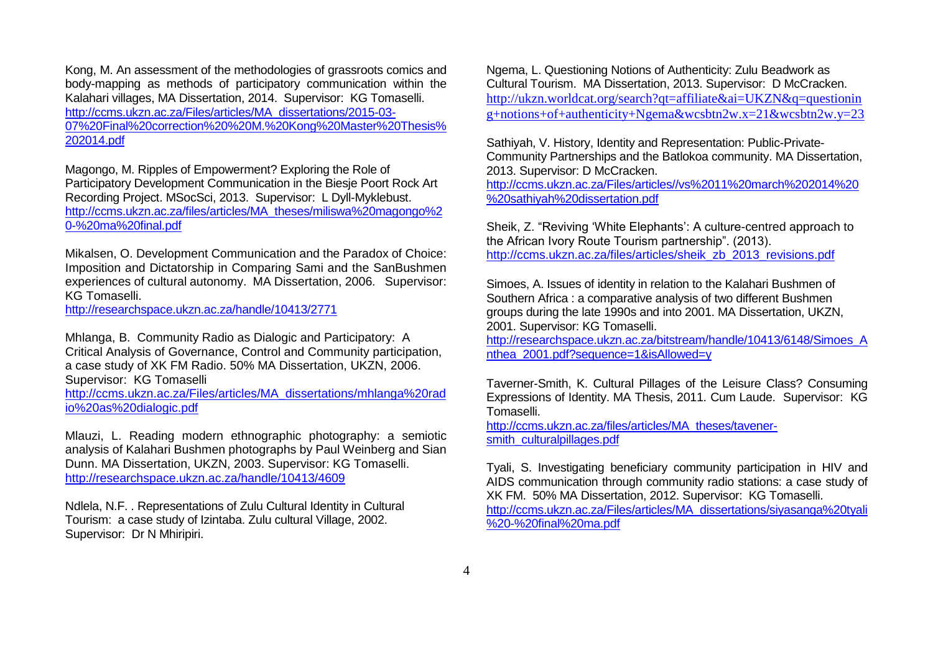Kong, M. An assessment of the methodologies of grassroots comics and body-mapping as methods of participatory communication within the Kalahari villages, MA Dissertation, 2014. Supervisor: KG Tomaselli. [http://ccms.ukzn.ac.za/Files/articles/MA\\_dissertations/2015-03-](http://ccms.ukzn.ac.za/Files/articles/MA_dissertations/2015-03-07%20Final%20correction%20%20M.%20Kong%20Master%20Thesis%202014.pdf) [07%20Final%20correction%20%20M.%20Kong%20Master%20Thesis%](http://ccms.ukzn.ac.za/Files/articles/MA_dissertations/2015-03-07%20Final%20correction%20%20M.%20Kong%20Master%20Thesis%202014.pdf) [202014.pdf](http://ccms.ukzn.ac.za/Files/articles/MA_dissertations/2015-03-07%20Final%20correction%20%20M.%20Kong%20Master%20Thesis%202014.pdf)

Magongo, M. Ripples of Empowerment? Exploring the Role of Participatory Development Communication in the Biesje Poort Rock Art Recording Project. MSocSci, 2013. Supervisor: L Dyll-Myklebust. [http://ccms.ukzn.ac.za/files/articles/MA\\_theses/miliswa%20magongo%2](http://ccms.ukzn.ac.za/files/articles/MA_theses/miliswa%20magongo%20-%20ma%20final.pdf) [0-%20ma%20final.pdf](http://ccms.ukzn.ac.za/files/articles/MA_theses/miliswa%20magongo%20-%20ma%20final.pdf)

Mikalsen, O. Development Communication and the Paradox of Choice: Imposition and Dictatorship in Comparing Sami and the SanBushmen experiences of cultural autonomy. MA Dissertation, 2006. Supervisor: KG Tomaselli.

<http://researchspace.ukzn.ac.za/handle/10413/2771>

Mhlanga, B. Community Radio as Dialogic and Participatory: A Critical Analysis of Governance, Control and Community participation, a case study of XK FM Radio. 50% MA Dissertation, UKZN, 2006. Supervisor: KG Tomaselli [http://ccms.ukzn.ac.za/Files/articles/MA\\_dissertations/mhlanga%20rad](http://ccms.ukzn.ac.za/Files/articles/MA_dissertations/mhlanga%20radio%20as%20dialogic.pdf) [io%20as%20dialogic.pdf](http://ccms.ukzn.ac.za/Files/articles/MA_dissertations/mhlanga%20radio%20as%20dialogic.pdf)

Mlauzi, L. Reading modern ethnographic photography: a semiotic analysis of Kalahari Bushmen photographs by Paul Weinberg and Sian Dunn. MA Dissertation, UKZN, 2003. Supervisor: KG Tomaselli. <http://researchspace.ukzn.ac.za/handle/10413/4609>

Ndlela, N.F. . Representations of Zulu Cultural Identity in Cultural Tourism: a case study of Izintaba. Zulu cultural Village, 2002. Supervisor: Dr N Mhiripiri.

Ngema, L. Questioning Notions of Authenticity: Zulu Beadwork as Cultural Tourism. MA Dissertation, 2013. Supervisor: D McCracken. [http://ukzn.worldcat.org/search?qt=affiliate&ai=UKZN&q=questionin](http://ukzn.worldcat.org/search?qt=affiliate&ai=UKZN&q=questioning+notions+of+authenticity+Ngema&wcsbtn2w.x=21&wcsbtn2w.y=23) [g+notions+of+authenticity+Ngema&wcsbtn2w.x=21&wcsbtn2w.y=23](http://ukzn.worldcat.org/search?qt=affiliate&ai=UKZN&q=questioning+notions+of+authenticity+Ngema&wcsbtn2w.x=21&wcsbtn2w.y=23)

Sathiyah, V. History, Identity and Representation: Public-Private-Community Partnerships and the Batlokoa community. MA Dissertation, 2013. Supervisor: D McCracken. [http://ccms.ukzn.ac.za/Files/articles//vs%2011%20march%202014%20](http://ccms.ukzn.ac.za/Files/articles/vs%2011%20march%202014%20%20sathiyah%20dissertation.pdf)

[%20sathiyah%20dissertation.pdf](http://ccms.ukzn.ac.za/Files/articles/vs%2011%20march%202014%20%20sathiyah%20dissertation.pdf)

Sheik, Z. "Reviving 'White Elephants': A culture-centred approach to the African Ivory Route Tourism partnership". (2013). [http://ccms.ukzn.ac.za/files/articles/sheik\\_zb\\_2013\\_revisions.pdf](http://ccms.ukzn.ac.za/files/articles/sheik_zb_2013_revisions.pdf)

Simoes, A. Issues of identity in relation to the Kalahari Bushmen of Southern Africa : a comparative analysis of two different Bushmen groups during the late 1990s and into 2001. MA Dissertation, UKZN, 2001. Supervisor: KG Tomaselli.

[http://researchspace.ukzn.ac.za/bitstream/handle/10413/6148/Simoes\\_A](http://researchspace.ukzn.ac.za/bitstream/handle/10413/6148/Simoes_Anthea_2001.pdf?sequence=1&isAllowed=y) [nthea\\_2001.pdf?sequence=1&isAllowed=y](http://researchspace.ukzn.ac.za/bitstream/handle/10413/6148/Simoes_Anthea_2001.pdf?sequence=1&isAllowed=y)

Taverner-Smith, K. Cultural Pillages of the Leisure Class? Consuming Expressions of Identity. MA Thesis, 2011. Cum Laude. Supervisor: KG Tomaselli.

[http://ccms.ukzn.ac.za/files/articles/MA\\_theses/tavener](http://ccms.ukzn.ac.za/files/articles/MA_theses/tavener-smith_culturalpillages.pdf)[smith\\_culturalpillages.pdf](http://ccms.ukzn.ac.za/files/articles/MA_theses/tavener-smith_culturalpillages.pdf)

Tyali, S. Investigating beneficiary community participation in HIV and AIDS communication through community radio stations: a case study of XK FM. 50% MA Dissertation, 2012. Supervisor: KG Tomaselli. [http://ccms.ukzn.ac.za/Files/articles/MA\\_dissertations/siyasanga%20tyali](http://ccms.ukzn.ac.za/Files/articles/MA_dissertations/siyasanga%20tyali%20-%20final%20ma.pdf) [%20-%20final%20ma.pdf](http://ccms.ukzn.ac.za/Files/articles/MA_dissertations/siyasanga%20tyali%20-%20final%20ma.pdf)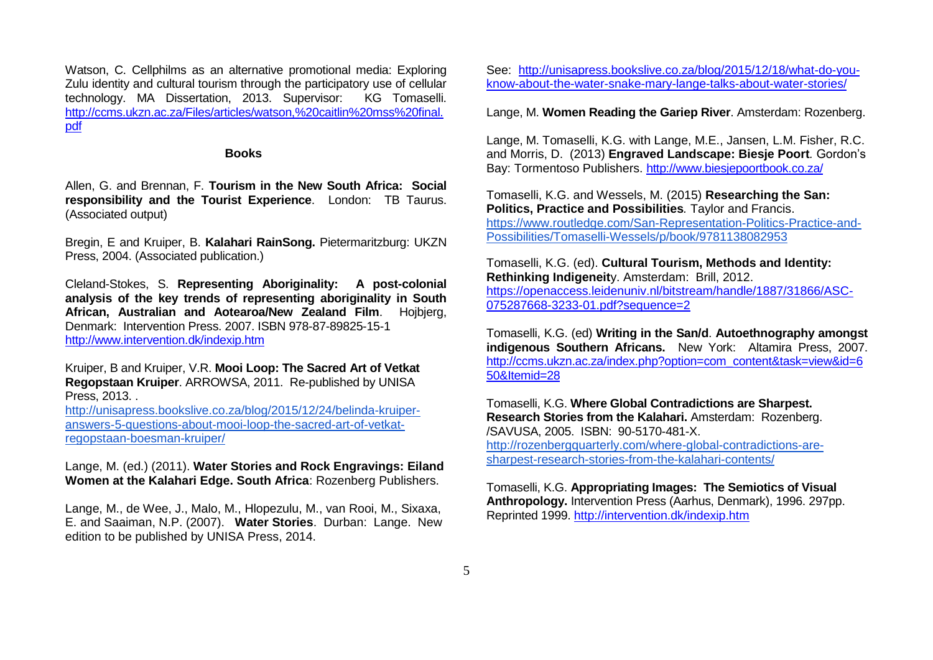Watson, C. Cellphilms as an alternative promotional media: Exploring Zulu identity and cultural tourism through the participatory use of cellular technology. MA Dissertation, 2013. Supervisor: KG Tomaselli. [http://ccms.ukzn.ac.za/Files/articles/watson,%20caitlin%20mss%20final.](http://ccms.ukzn.ac.za/Files/articles/watson,%20caitlin%20mss%20final.pdf) [pdf](http://ccms.ukzn.ac.za/Files/articles/watson,%20caitlin%20mss%20final.pdf)

#### **Books**

Allen, G. and Brennan, F. **Tourism in the New South Africa: Social responsibility and the Tourist Experience**. London: TB Taurus. (Associated output)

Bregin, E and Kruiper, B. **Kalahari RainSong.** Pietermaritzburg: UKZN Press, 2004. (Associated publication.)

Cleland-Stokes, S. **Representing Aboriginality: A post-colonial analysis of the key trends of representing aboriginality in South African, Australian and Aotearoa/New Zealand Film**. Hojbjerg, Denmark: Intervention Press. 2007. ISBN 978-87-89825-15-1 <http://www.intervention.dk/indexip.htm>

Kruiper, B and Kruiper, V.R. **Mooi Loop: The Sacred Art of Vetkat Regopstaan Kruiper**. ARROWSA, 2011. Re-published by UNISA Press, 2013. .

[http://unisapress.bookslive.co.za/blog/2015/12/24/belinda-kruiper](http://unisapress.bookslive.co.za/blog/2015/12/24/belinda-kruiper-answers-5-questions-about-mooi-loop-the-sacred-art-of-vetkat-regopstaan-boesman-kruiper/)[answers-5-questions-about-mooi-loop-the-sacred-art-of-vetkat](http://unisapress.bookslive.co.za/blog/2015/12/24/belinda-kruiper-answers-5-questions-about-mooi-loop-the-sacred-art-of-vetkat-regopstaan-boesman-kruiper/)[regopstaan-boesman-kruiper/](http://unisapress.bookslive.co.za/blog/2015/12/24/belinda-kruiper-answers-5-questions-about-mooi-loop-the-sacred-art-of-vetkat-regopstaan-boesman-kruiper/)

Lange, M. (ed.) (2011). **Water Stories and Rock Engravings: Eiland Women at the Kalahari Edge. South Africa**: Rozenberg Publishers.

Lange, M., de Wee, J., Malo, M., Hlopezulu, M., van Rooi, M., Sixaxa, E. and Saaiman, N.P. (2007). **Water Stories**. Durban: Lange. New edition to be published by UNISA Press, 2014.

See: [http://unisapress.bookslive.co.za/blog/2015/12/18/what-do-you](http://unisapress.bookslive.co.za/blog/2015/12/18/what-do-you-know-about-the-water-snake-mary-lange-talks-about-water-stories/)[know-about-the-water-snake-mary-lange-talks-about-water-stories/](http://unisapress.bookslive.co.za/blog/2015/12/18/what-do-you-know-about-the-water-snake-mary-lange-talks-about-water-stories/)

Lange, M. **Women Reading the Gariep River**. Amsterdam: Rozenberg.

Lange, M. Tomaselli, K.G. with Lange, M.E., Jansen, L.M. Fisher, R.C. and Morris, D. (2013) **Engraved Landscape: Biesje Poort***.* Gordon's Bay: Tormentoso Publishers. <http://www.biesjepoortbook.co.za/>

Tomaselli, K.G. and Wessels, M. (2015) **Researching the San: Politics, Practice and Possibilities***.* Taylor and Francis. [https://www.routledge.com/San-Representation-Politics-Practice-and-](https://www.routledge.com/San-Representation-Politics-Practice-and-Possibilities/Tomaselli-Wessels/p/book/9781138082953)[Possibilities/Tomaselli-Wessels/p/book/9781138082953](https://www.routledge.com/San-Representation-Politics-Practice-and-Possibilities/Tomaselli-Wessels/p/book/9781138082953)

Tomaselli, K.G. (ed). **Cultural Tourism, Methods and Identity: Rethinking Indigeneit**y. Amsterdam: Brill, 2012. [https://openaccess.leidenuniv.nl/bitstream/handle/1887/31866/ASC-](https://openaccess.leidenuniv.nl/bitstream/handle/1887/31866/ASC-075287668-3233-01.pdf?sequence=2)[075287668-3233-01.pdf?sequence=2](https://openaccess.leidenuniv.nl/bitstream/handle/1887/31866/ASC-075287668-3233-01.pdf?sequence=2)

Tomaselli, K.G. (ed) **Writing in the San/d**. **Autoethnography amongst indigenous Southern Africans.** New York: Altamira Press, 2007. [http://ccms.ukzn.ac.za/index.php?option=com\\_content&task=view&id=6](http://ccms.ukzn.ac.za/index.php?option=com_content&task=view&id=650&Itemid=28) [50&Itemid=28](http://ccms.ukzn.ac.za/index.php?option=com_content&task=view&id=650&Itemid=28)

Tomaselli, K.G. **Where Global Contradictions are Sharpest. Research Stories from the Kalahari.** Amsterdam: Rozenberg. /SAVUSA, 2005. ISBN: 90-5170-481-X. [http://rozenbergquarterly.com/where-global-contradictions-are](http://rozenbergquarterly.com/where-global-contradictions-are-sharpest-research-stories-from-the-kalahari-contents/)[sharpest-research-stories-from-the-kalahari-contents/](http://rozenbergquarterly.com/where-global-contradictions-are-sharpest-research-stories-from-the-kalahari-contents/)

Tomaselli, K.G. **Appropriating Images: The Semiotics of Visual Anthropology.** Intervention Press (Aarhus, Denmark), 1996. 297pp. Reprinted 1999. <http://intervention.dk/indexip.htm>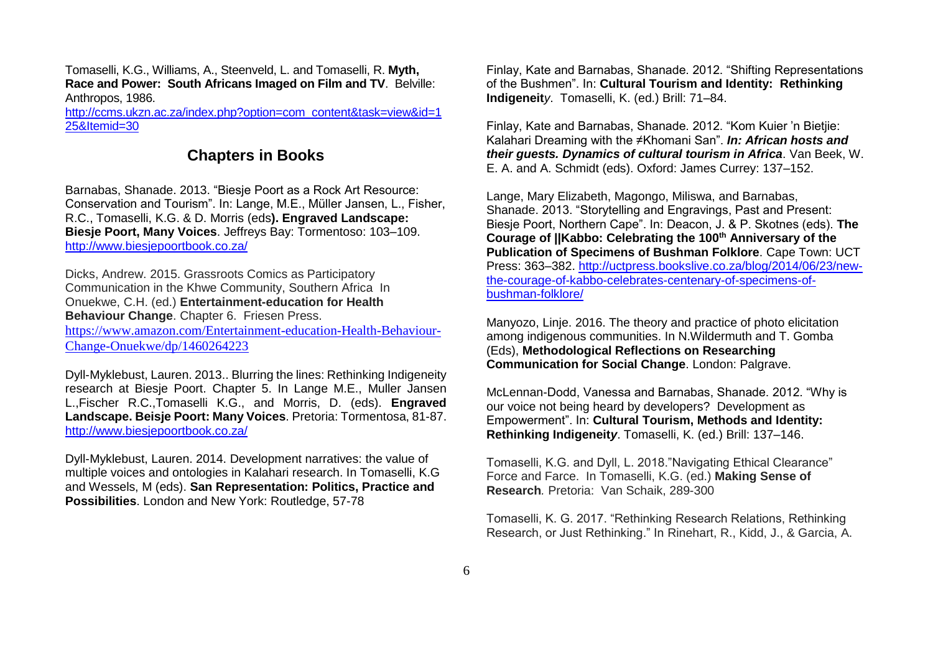Tomaselli, K.G., Williams, A., Steenveld, L. and Tomaselli, R. **Myth, Race and Power: South Africans Imaged on Film and TV**. Belville: Anthropos, 1986.

[http://ccms.ukzn.ac.za/index.php?option=com\\_content&task=view&id=1](http://ccms.ukzn.ac.za/index.php?option=com_content&task=view&id=125&Itemid=30) [25&Itemid=30](http://ccms.ukzn.ac.za/index.php?option=com_content&task=view&id=125&Itemid=30)

### **Chapters in Books**

Barnabas, Shanade. 2013. "Biesje Poort as a Rock Art Resource: Conservation and Tourism". In: Lange, M.E., Müller Jansen, L., Fisher, R.C., Tomaselli, K.G. & D. Morris (eds**). Engraved Landscape: Biesje Poort, Many Voices**. Jeffreys Bay: Tormentoso: 103–109. <http://www.biesjepoortbook.co.za/>

Dicks, Andrew. 2015. Grassroots Comics as Participatory Communication in the Khwe Community, Southern Africa In Onuekwe, C.H. (ed.) **Entertainment-education for Health Behaviour Change**. Chapter 6. Friesen Press.

[https://www.amazon.com/Entertainment-education-Health-Behaviour-](https://www.amazon.com/Entertainment-education-Health-Behaviour-Change-Onuekwe/dp/1460264223)[Change-Onuekwe/dp/1460264223](https://www.amazon.com/Entertainment-education-Health-Behaviour-Change-Onuekwe/dp/1460264223)

Dyll-Myklebust, Lauren. 2013.. Blurring the lines: Rethinking Indigeneity research at Biesje Poort. Chapter 5. In Lange M.E., Muller Jansen L.,Fischer R.C.,Tomaselli K.G., and Morris, D. (eds). **Engraved Landscape. Beisje Poort: Many Voices**. Pretoria: Tormentosa, 81-87. <http://www.biesjepoortbook.co.za/>

Dyll-Myklebust, Lauren. 2014. Development narratives: the value of multiple voices and ontologies in Kalahari research. In Tomaselli, K.G and Wessels, M (eds). **San Representation: Politics, Practice and Possibilities**. London and New York: Routledge, 57-78

Finlay, Kate and Barnabas, Shanade. 2012. "Shifting Representations of the Bushmen". In: **Cultural Tourism and Identity: Rethinking Indigeneit***y*. Tomaselli, K. (ed.) Brill: 71–84.

Finlay, Kate and Barnabas, Shanade. 2012. "Kom Kuier 'n Bietjie: Kalahari Dreaming with the ≠Khomani San". *In: African hosts and their guests. Dynamics of cultural tourism in Africa*. Van Beek, W. E. A. and A. Schmidt (eds). Oxford: James Currey: 137–152.

Lange, Mary Elizabeth, Magongo, Miliswa, and Barnabas, Shanade. 2013. "Storytelling and Engravings, Past and Present: Biesje Poort, Northern Cape". In: Deacon, J. & P. Skotnes (eds). **The Courage of ||Kabbo: Celebrating the 100th Anniversary of the Publication of Specimens of Bushman Folklore.** Cape Town: UCT Press: 363–382. [http://uctpress.bookslive.co.za/blog/2014/06/23/new](http://uctpress.bookslive.co.za/blog/2014/06/23/new-the-courage-of-kabbo-celebrates-centenary-of-specimens-of-bushman-folklore/)[the-courage-of-kabbo-celebrates-centenary-of-specimens-of](http://uctpress.bookslive.co.za/blog/2014/06/23/new-the-courage-of-kabbo-celebrates-centenary-of-specimens-of-bushman-folklore/)[bushman-folklore/](http://uctpress.bookslive.co.za/blog/2014/06/23/new-the-courage-of-kabbo-celebrates-centenary-of-specimens-of-bushman-folklore/)

Manyozo, Linje. 2016. The theory and practice of photo elicitation among indigenous communities. In N.Wildermuth and T. Gomba (Eds), **Methodological Reflections on Researching Communication for Social Change**. London: Palgrave.

McLennan-Dodd, Vanessa and Barnabas, Shanade. 2012. "Why is our voice not being heard by developers? Development as Empowerment". In: **Cultural Tourism, Methods and Identity: Rethinking Indigeneit***y*. Tomaselli, K. (ed.) Brill: 137–146.

Tomaselli, K.G. and Dyll, L. 2018."Navigating Ethical Clearance" Force and Farce. In Tomaselli, K.G. (ed.) **Making Sense of Research***.* Pretoria: Van Schaik, 289-300

Tomaselli, K. G. 2017. "Rethinking Research Relations, Rethinking Research, or Just Rethinking." In Rinehart, R., Kidd, J., & Garcia, A.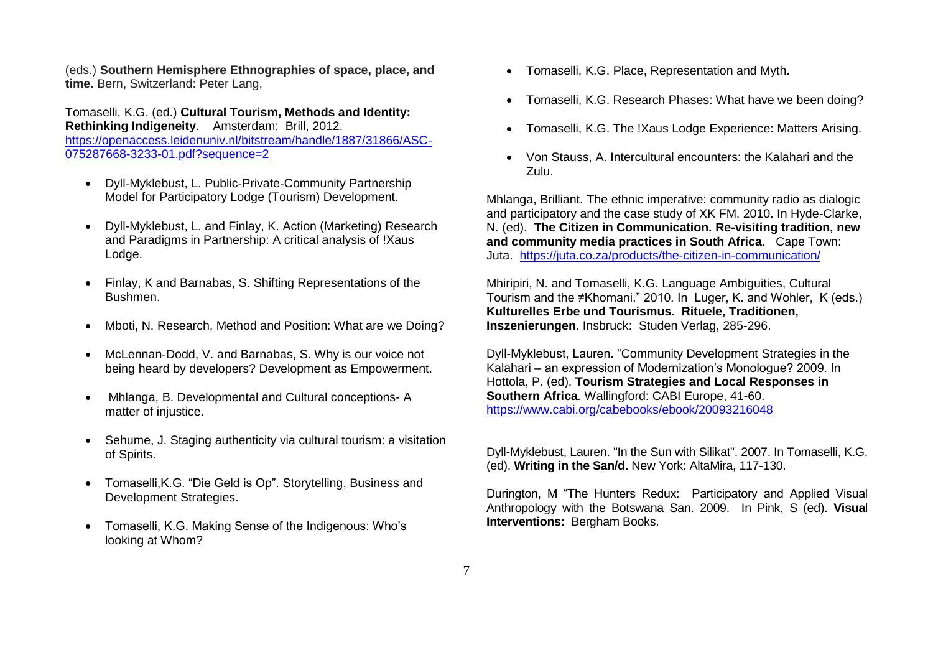(eds.) **Southern Hemisphere Ethnographies of space, place, and time.** Bern, Switzerland: Peter Lang,

Tomaselli, K.G. (ed.) **Cultural Tourism, Methods and Identity: Rethinking Indigeneity**. Amsterdam: Brill, 2012. [https://openaccess.leidenuniv.nl/bitstream/handle/1887/31866/ASC-](https://openaccess.leidenuniv.nl/bitstream/handle/1887/31866/ASC-075287668-3233-01.pdf?sequence=2)[075287668-3233-01.pdf?sequence=2](https://openaccess.leidenuniv.nl/bitstream/handle/1887/31866/ASC-075287668-3233-01.pdf?sequence=2)

- Dyll-Myklebust, L. Public-Private-Community Partnership Model for Participatory Lodge (Tourism) Development.
- Dyll-Myklebust, L. and Finlay, K. Action (Marketing) Research and Paradigms in Partnership: A critical analysis of !Xaus Lodge.
- Finlay, K and Barnabas, S. Shifting Representations of the Bushmen.
- Mboti, N. Research, Method and Position: What are we Doing?
- McLennan-Dodd, V. and Barnabas, S. Why is our voice not being heard by developers? Development as Empowerment.
- Mhlanga, B. Developmental and Cultural conceptions- A matter of injustice.
- Sehume, J. Staging authenticity via cultural tourism: a visitation of Spirits.
- Tomaselli,K.G. "Die Geld is Op". Storytelling, Business and Development Strategies.
- Tomaselli, K.G. Making Sense of the Indigenous: Who's looking at Whom?
- Tomaselli, K.G. Place, Representation and Myth**.**
- Tomaselli, K.G. Research Phases: What have we been doing?
- Tomaselli, K.G. The !Xaus Lodge Experience: Matters Arising.
- Von Stauss, A. Intercultural encounters: the Kalahari and the Zulu.

Mhlanga, Brilliant. The ethnic imperative: community radio as dialogic and participatory and the case study of XK FM. 2010. In Hyde-Clarke, N. (ed). **The Citizen in Communication. Re-visiting tradition, new and community media practices in South Africa**. Cape Town: Juta. <https://juta.co.za/products/the-citizen-in-communication/>

Mhiripiri, N. and Tomaselli, K.G. Language Ambiguities, Cultural Tourism and the ≠Khomani." 2010. In Luger, K. and Wohler, K (eds.) **Kulturelles Erbe und Tourismus. Rituele, Traditionen, Inszenierungen**. Insbruck: Studen Verlag, 285-296.

Dyll-Myklebust, Lauren. "Community Development Strategies in the Kalahari – an expression of Modernization's Monologue? 2009. In Hottola, P. (ed). **Tourism Strategies and Local Responses in Southern Africa***.* Wallingford: CABI Europe, 41-60. <https://www.cabi.org/cabebooks/ebook/20093216048>

Dyll-Myklebust, Lauren. "In the Sun with Silikat". 2007. In Tomaselli, K.G. (ed). **Writing in the San/d.** New York: AltaMira, 117-130.

Durington, M "The Hunters Redux: Participatory and Applied Visual Anthropology with the Botswana San. 2009. In Pink, S (ed). **Visua**l **Interventions:** Bergham Books.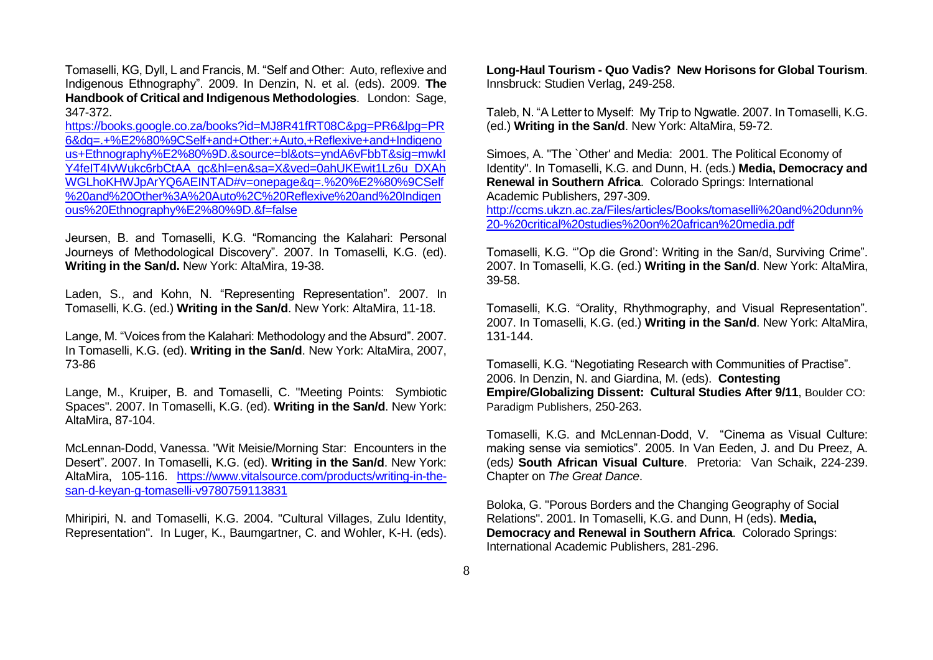Tomaselli, KG, Dyll, L and Francis, M. "Self and Other: Auto, reflexive and Indigenous Ethnography". 2009. In Denzin, N. et al. (eds). 2009. **The Handbook of Critical and Indigenous Methodologies**. London: Sage, 347-372.

[https://books.google.co.za/books?id=MJ8R41fRT08C&pg=PR6&lpg=PR](https://books.google.co.za/books?id=MJ8R41fRT08C&pg=PR6&lpg=PR6&dq=.+%E2%80%9CSelf+and+Other:+Auto,+Reflexive+and+Indigenous+Ethnography%E2%80%9D.&source=bl&ots=yndA6vFbbT&sig=mwkIY4feIT4IvWukc6rbCtAA_qc&hl=en&sa=X&ved=0ahUKEwit1Lz6u_DXAhWGLhoKHWJpArYQ6AEINTAD#v=onepage&q=.%20%E2%80%9CSelf%20and%20Other%3A%20Auto%2C%20Reflexive%20and%20Indigenous%20Ethnography%E2%80%9D.&f=false) [6&dq=.+%E2%80%9CSelf+and+Other:+Auto,+Reflexive+and+Indigeno](https://books.google.co.za/books?id=MJ8R41fRT08C&pg=PR6&lpg=PR6&dq=.+%E2%80%9CSelf+and+Other:+Auto,+Reflexive+and+Indigenous+Ethnography%E2%80%9D.&source=bl&ots=yndA6vFbbT&sig=mwkIY4feIT4IvWukc6rbCtAA_qc&hl=en&sa=X&ved=0ahUKEwit1Lz6u_DXAhWGLhoKHWJpArYQ6AEINTAD#v=onepage&q=.%20%E2%80%9CSelf%20and%20Other%3A%20Auto%2C%20Reflexive%20and%20Indigenous%20Ethnography%E2%80%9D.&f=false) [us+Ethnography%E2%80%9D.&source=bl&ots=yndA6vFbbT&sig=mwkI](https://books.google.co.za/books?id=MJ8R41fRT08C&pg=PR6&lpg=PR6&dq=.+%E2%80%9CSelf+and+Other:+Auto,+Reflexive+and+Indigenous+Ethnography%E2%80%9D.&source=bl&ots=yndA6vFbbT&sig=mwkIY4feIT4IvWukc6rbCtAA_qc&hl=en&sa=X&ved=0ahUKEwit1Lz6u_DXAhWGLhoKHWJpArYQ6AEINTAD#v=onepage&q=.%20%E2%80%9CSelf%20and%20Other%3A%20Auto%2C%20Reflexive%20and%20Indigenous%20Ethnography%E2%80%9D.&f=false) [Y4feIT4IvWukc6rbCtAA\\_qc&hl=en&sa=X&ved=0ahUKEwit1Lz6u\\_DXAh](https://books.google.co.za/books?id=MJ8R41fRT08C&pg=PR6&lpg=PR6&dq=.+%E2%80%9CSelf+and+Other:+Auto,+Reflexive+and+Indigenous+Ethnography%E2%80%9D.&source=bl&ots=yndA6vFbbT&sig=mwkIY4feIT4IvWukc6rbCtAA_qc&hl=en&sa=X&ved=0ahUKEwit1Lz6u_DXAhWGLhoKHWJpArYQ6AEINTAD#v=onepage&q=.%20%E2%80%9CSelf%20and%20Other%3A%20Auto%2C%20Reflexive%20and%20Indigenous%20Ethnography%E2%80%9D.&f=false) [WGLhoKHWJpArYQ6AEINTAD#v=onepage&q=.%20%E2%80%9CSelf](https://books.google.co.za/books?id=MJ8R41fRT08C&pg=PR6&lpg=PR6&dq=.+%E2%80%9CSelf+and+Other:+Auto,+Reflexive+and+Indigenous+Ethnography%E2%80%9D.&source=bl&ots=yndA6vFbbT&sig=mwkIY4feIT4IvWukc6rbCtAA_qc&hl=en&sa=X&ved=0ahUKEwit1Lz6u_DXAhWGLhoKHWJpArYQ6AEINTAD#v=onepage&q=.%20%E2%80%9CSelf%20and%20Other%3A%20Auto%2C%20Reflexive%20and%20Indigenous%20Ethnography%E2%80%9D.&f=false) [%20and%20Other%3A%20Auto%2C%20Reflexive%20and%20Indigen](https://books.google.co.za/books?id=MJ8R41fRT08C&pg=PR6&lpg=PR6&dq=.+%E2%80%9CSelf+and+Other:+Auto,+Reflexive+and+Indigenous+Ethnography%E2%80%9D.&source=bl&ots=yndA6vFbbT&sig=mwkIY4feIT4IvWukc6rbCtAA_qc&hl=en&sa=X&ved=0ahUKEwit1Lz6u_DXAhWGLhoKHWJpArYQ6AEINTAD#v=onepage&q=.%20%E2%80%9CSelf%20and%20Other%3A%20Auto%2C%20Reflexive%20and%20Indigenous%20Ethnography%E2%80%9D.&f=false) [ous%20Ethnography%E2%80%9D.&f=false](https://books.google.co.za/books?id=MJ8R41fRT08C&pg=PR6&lpg=PR6&dq=.+%E2%80%9CSelf+and+Other:+Auto,+Reflexive+and+Indigenous+Ethnography%E2%80%9D.&source=bl&ots=yndA6vFbbT&sig=mwkIY4feIT4IvWukc6rbCtAA_qc&hl=en&sa=X&ved=0ahUKEwit1Lz6u_DXAhWGLhoKHWJpArYQ6AEINTAD#v=onepage&q=.%20%E2%80%9CSelf%20and%20Other%3A%20Auto%2C%20Reflexive%20and%20Indigenous%20Ethnography%E2%80%9D.&f=false)

Jeursen, B. and Tomaselli, K.G. "Romancing the Kalahari: Personal Journeys of Methodological Discovery". 2007. In Tomaselli, K.G. (ed). **Writing in the San/d.** New York: AltaMira, 19-38.

Laden, S., and Kohn, N. "Representing Representation". 2007. In Tomaselli, K.G. (ed.) **Writing in the San/d**. New York: AltaMira, 11-18.

Lange, M. "Voices from the Kalahari: Methodology and the Absurd". 2007. In Tomaselli, K.G. (ed). **Writing in the San/d**. New York: AltaMira, 2007, 73-86

Lange, M., Kruiper, B. and Tomaselli, C. "Meeting Points: Symbiotic Spaces". 2007. In Tomaselli, K.G. (ed). **Writing in the San/d**. New York: AltaMira, 87-104.

McLennan-Dodd, Vanessa. "Wit Meisie/Morning Star: Encounters in the Desert". 2007. In Tomaselli, K.G. (ed). **Writing in the San/d**. New York: AltaMira, 105-116. [https://www.vitalsource.com/products/writing-in-the](https://www.vitalsource.com/products/writing-in-the-san-d-keyan-g-tomaselli-v9780759113831)[san-d-keyan-g-tomaselli-v9780759113831](https://www.vitalsource.com/products/writing-in-the-san-d-keyan-g-tomaselli-v9780759113831)

Mhiripiri, N. and Tomaselli, K.G. 2004. "Cultural Villages, Zulu Identity, Representation". In Luger, K., Baumgartner, C. and Wohler, K-H. (eds). **Long-Haul Tourism - Quo Vadis? New Horisons for Global Tourism**. Innsbruck: Studien Verlag, 249-258.

Taleb, N. "A Letter to Myself: My Trip to Ngwatle. 2007. In Tomaselli, K.G. (ed.) **Writing in the San/d**. New York: AltaMira, 59-72.

Simoes, A. "The `Other' and Media: 2001. The Political Economy of Identity". In Tomaselli, K.G. and Dunn, H. (eds.) **Media, Democracy and Renewal in Southern Africa**. Colorado Springs: International Academic Publishers, 297-309. [http://ccms.ukzn.ac.za/Files/articles/Books/tomaselli%20and%20dunn%](http://ccms.ukzn.ac.za/Files/articles/Books/tomaselli%20and%20dunn%20-%20critical%20studies%20on%20african%20media.pdf)

[20-%20critical%20studies%20on%20african%20media.pdf](http://ccms.ukzn.ac.za/Files/articles/Books/tomaselli%20and%20dunn%20-%20critical%20studies%20on%20african%20media.pdf)

Tomaselli, K.G. "'Op die Grond': Writing in the San/d, Surviving Crime". 2007. In Tomaselli, K.G. (ed.) **Writing in the San/d**. New York: AltaMira, 39-58.

Tomaselli, K.G. "Orality, Rhythmography, and Visual Representation". 2007. In Tomaselli, K.G. (ed.) **Writing in the San/d**. New York: AltaMira, 131-144.

Tomaselli, K.G. "Negotiating Research with Communities of Practise". 2006. In Denzin, N. and Giardina, M. (eds). **Contesting Empire/Globalizing Dissent: Cultural Studies After 9/11**, Boulder CO: Paradigm Publishers, 250-263.

Tomaselli, K.G. and McLennan-Dodd, V. "Cinema as Visual Culture: making sense via semiotics". 2005. In Van Eeden, J. and Du Preez, A. (eds*)* **South African Visual Culture**. Pretoria: Van Schaik, 224-239. Chapter on *The Great Dance*.

Boloka, G. "Porous Borders and the Changing Geography of Social Relations". 2001. In Tomaselli, K.G. and Dunn, H (eds). **Media, Democracy and Renewal in Southern Africa**. Colorado Springs: International Academic Publishers, 281-296.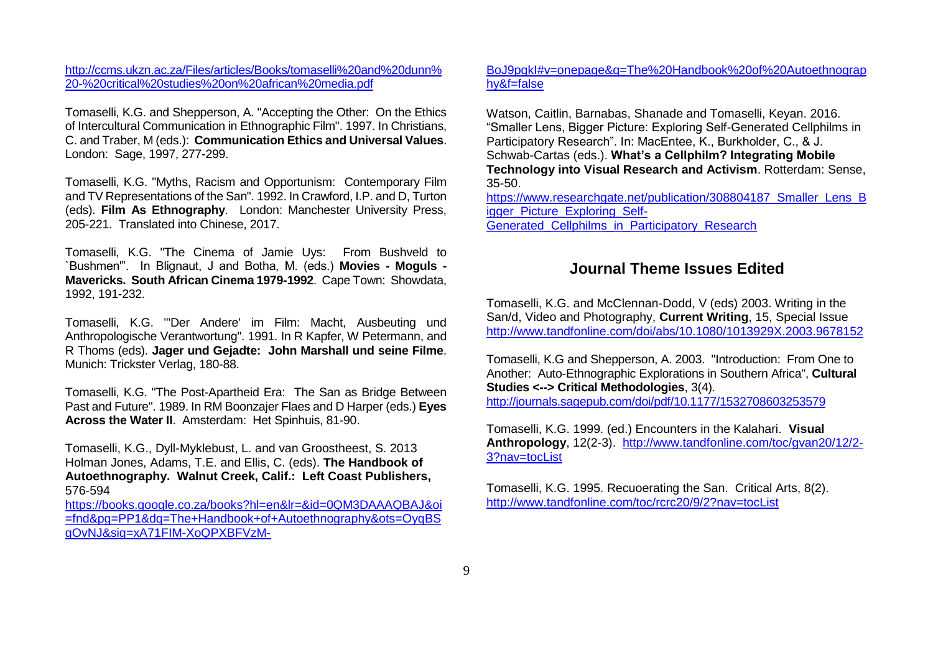[http://ccms.ukzn.ac.za/Files/articles/Books/tomaselli%20and%20dunn%](http://ccms.ukzn.ac.za/Files/articles/Books/tomaselli%20and%20dunn%20-%20critical%20studies%20on%20african%20media.pdf) [20-%20critical%20studies%20on%20african%20media.pdf](http://ccms.ukzn.ac.za/Files/articles/Books/tomaselli%20and%20dunn%20-%20critical%20studies%20on%20african%20media.pdf)

Tomaselli, K.G. and Shepperson, A. "Accepting the Other: On the Ethics of Intercultural Communication in Ethnographic Film". 1997. In Christians, C. and Traber, M (eds.): **Communication Ethics and Universal Values**. London: Sage, 1997, 277-299.

Tomaselli, K.G. "Myths, Racism and Opportunism: Contemporary Film and TV Representations of the San". 1992. In Crawford, I.P. and D, Turton (eds). **Film As Ethnography**. London: Manchester University Press, 205-221. Translated into Chinese, 2017.

Tomaselli, K.G. "The Cinema of Jamie Uys: From Bushveld to `Bushmen'". In Blignaut, J and Botha, M. (eds.) **Movies - Moguls - Mavericks. South African Cinema 1979-1992**. Cape Town: Showdata, 1992, 191-232.

Tomaselli, K.G. "'Der Andere' im Film: Macht, Ausbeuting und Anthropologische Verantwortung". 1991. In R Kapfer, W Petermann, and R Thoms (eds). **Jager und Gejadte: John Marshall und seine Filme**. Munich: Trickster Verlag, 180-88.

Tomaselli, K.G. "The Post-Apartheid Era: The San as Bridge Between Past and Future". 1989. In RM Boonzajer Flaes and D Harper (eds.) **Eyes Across the Water II**. Amsterdam: Het Spinhuis, 81-90.

Tomaselli, K.G., Dyll-Myklebust, L. and van Groostheest, S. 2013 Holman Jones, Adams, T.E. and Ellis, C. (eds). **The Handbook of Autoethnography. Walnut Creek, Calif.: Left Coast Publishers,**  576-594

[https://books.google.co.za/books?hl=en&lr=&id=0QM3DAAAQBAJ&oi](https://books.google.co.za/books?hl=en&lr=&id=0QM3DAAAQBAJ&oi=fnd&pg=PP1&dq=The+Handbook+of+Autoethnography&ots=OyqBSgOvNJ&sig=xA71FIM-XoQPXBFVzM-BoJ9pgkI#v=onepage&q=The%20Handbook%20of%20Autoethnography&f=false) [=fnd&pg=PP1&dq=The+Handbook+of+Autoethnography&ots=OyqBS](https://books.google.co.za/books?hl=en&lr=&id=0QM3DAAAQBAJ&oi=fnd&pg=PP1&dq=The+Handbook+of+Autoethnography&ots=OyqBSgOvNJ&sig=xA71FIM-XoQPXBFVzM-BoJ9pgkI#v=onepage&q=The%20Handbook%20of%20Autoethnography&f=false) [gOvNJ&sig=xA71FIM-XoQPXBFVzM-](https://books.google.co.za/books?hl=en&lr=&id=0QM3DAAAQBAJ&oi=fnd&pg=PP1&dq=The+Handbook+of+Autoethnography&ots=OyqBSgOvNJ&sig=xA71FIM-XoQPXBFVzM-BoJ9pgkI#v=onepage&q=The%20Handbook%20of%20Autoethnography&f=false)

#### [BoJ9pgkI#v=onepage&q=The%20Handbook%20of%20Autoethnograp](https://books.google.co.za/books?hl=en&lr=&id=0QM3DAAAQBAJ&oi=fnd&pg=PP1&dq=The+Handbook+of+Autoethnography&ots=OyqBSgOvNJ&sig=xA71FIM-XoQPXBFVzM-BoJ9pgkI#v=onepage&q=The%20Handbook%20of%20Autoethnography&f=false) [hy&f=false](https://books.google.co.za/books?hl=en&lr=&id=0QM3DAAAQBAJ&oi=fnd&pg=PP1&dq=The+Handbook+of+Autoethnography&ots=OyqBSgOvNJ&sig=xA71FIM-XoQPXBFVzM-BoJ9pgkI#v=onepage&q=The%20Handbook%20of%20Autoethnography&f=false)

Watson, Caitlin, Barnabas, Shanade and Tomaselli, Keyan. 2016. "Smaller Lens, Bigger Picture: Exploring Self-Generated Cellphilms in Participatory Research". In: MacEntee, K., Burkholder, C., & J. Schwab-Cartas (eds.). **What's a Cellphilm? Integrating Mobile Technology into Visual Research and Activism**. Rotterdam: Sense, 35-50.

[https://www.researchgate.net/publication/308804187\\_Smaller\\_Lens\\_B](https://www.researchgate.net/publication/308804187_Smaller_Lens_Bigger_Picture_Exploring_Self-Generated_Cellphilms_in_Participatory_Research) [igger\\_Picture\\_Exploring\\_Self-](https://www.researchgate.net/publication/308804187_Smaller_Lens_Bigger_Picture_Exploring_Self-Generated_Cellphilms_in_Participatory_Research)Generated Cellphilms in Participatory Research

## **Journal Theme Issues Edited**

Tomaselli, K.G. and McClennan-Dodd, V (eds) 2003. Writing in the San/d, Video and Photography, **Current Writing**, 15, Special Issue <http://www.tandfonline.com/doi/abs/10.1080/1013929X.2003.9678152>

Tomaselli, K.G and Shepperson, A. 2003. "Introduction: From One to Another: Auto-Ethnographic Explorations in Southern Africa", **Cultural Studies <--> Critical Methodologies**, 3(4). <http://journals.sagepub.com/doi/pdf/10.1177/1532708603253579>

Tomaselli, K.G. 1999. (ed.) Encounters in the Kalahari. **Visual Anthropology**, 12(2-3). [http://www.tandfonline.com/toc/gvan20/12/2-](http://www.tandfonline.com/toc/gvan20/12/2-3?nav=tocList) [3?nav=tocList](http://www.tandfonline.com/toc/gvan20/12/2-3?nav=tocList)

Tomaselli, K.G. 1995. Recuoerating the San. Critical Arts, 8(2). <http://www.tandfonline.com/toc/rcrc20/9/2?nav=tocList>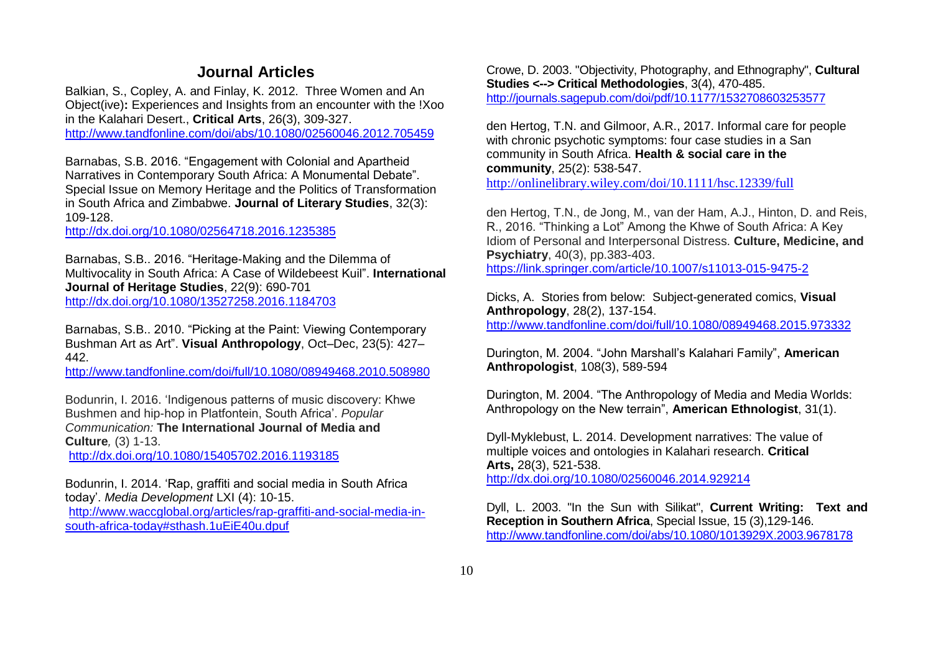## **Journal Articles**

Balkian, S., Copley, A. and Finlay, K. 2012. Three Women and An Object(ive)**:** Experiences and Insights from an encounter with the !Xoo in the Kalahari Desert., **Critical Arts**, 26(3), 309-327. <http://www.tandfonline.com/doi/abs/10.1080/02560046.2012.705459>

Barnabas, S.B. 2016. "Engagement with Colonial and Apartheid Narratives in Contemporary South Africa: A Monumental Debate". Special Issue on Memory Heritage and the Politics of Transformation in South Africa and Zimbabwe. **Journal of Literary Studies**, 32(3): 109-128.

<http://dx.doi.org/10.1080/02564718.2016.1235385>

Barnabas, S.B.. 2016. "Heritage-Making and the Dilemma of Multivocality in South Africa: A Case of Wildebeest Kuil". **International Journal of Heritage Studies**, 22(9): 690-701 <http://dx.doi.org/10.1080/13527258.2016.1184703>

Barnabas, S.B.. 2010. "Picking at the Paint: Viewing Contemporary Bushman Art as Art". **Visual Anthropology**, Oct–Dec, 23(5): 427– 442.

<http://www.tandfonline.com/doi/full/10.1080/08949468.2010.508980>

Bodunrin, I. 2016. 'Indigenous patterns of music discovery: Khwe Bushmen and hip-hop in Platfontein, South Africa'. *Popular Communication:* **The International Journal of Media and Culture***,* (3) 1-13.

<http://dx.doi.org/10.1080/15405702.2016.1193185>

Bodunrin, I. 2014. 'Rap, graffiti and social media in South Africa today'. *Media Development* LXI (4): 10-15.

[http://www.waccglobal.org/articles/rap-graffiti-and-social-media-in](http://www.waccglobal.org/articles/rap-graffiti-and-social-media-in-south-africa-today#sthash.1uEiE40u.dpuf)[south-africa-today#sthash.1uEiE40u.dpuf](http://www.waccglobal.org/articles/rap-graffiti-and-social-media-in-south-africa-today#sthash.1uEiE40u.dpuf)

Crowe, D. 2003. "Objectivity, Photography, and Ethnography", **Cultural Studies <--> Critical Methodologies**, 3(4), 470-485. <http://journals.sagepub.com/doi/pdf/10.1177/1532708603253577>

den Hertog, T.N. and Gilmoor, A.R., 2017. Informal care for people with chronic psychotic symptoms: four case studies in a San community in South Africa. **Health & social care in the community**, 25(2): 538-547.

<http://onlinelibrary.wiley.com/doi/10.1111/hsc.12339/full>

den Hertog, T.N., de Jong, M., van der Ham, A.J., Hinton, D. and Reis, R., 2016. "Thinking a Lot" Among the Khwe of South Africa: A Key Idiom of Personal and Interpersonal Distress. **Culture, Medicine, and Psychiatry**, 40(3), pp.383-403. https://link.springer.com/article/10.1007/s11013-015-9475-2

Dicks, A. Stories from below: Subject-generated comics, **Visual Anthropology**, 28(2), 137-154. <http://www.tandfonline.com/doi/full/10.1080/08949468.2015.973332>

Durington, M. 2004. "John Marshall's Kalahari Family", **American Anthropologist**, 108(3), 589-594

Durington, M. 2004. "The Anthropology of Media and Media Worlds: Anthropology on the New terrain", **American Ethnologist**, 31(1).

Dyll-Myklebust, L. 2014. Development narratives: The value of multiple voices and ontologies in Kalahari research. **Critical Arts,** 28(3), 521-538. <http://dx.doi.org/10.1080/02560046.2014.929214>

Dyll, L. 2003. "In the Sun with Silikat", **Current Writing: Text and Reception in Southern Africa**, Special Issue, 15 (3),129-146. <http://www.tandfonline.com/doi/abs/10.1080/1013929X.2003.9678178>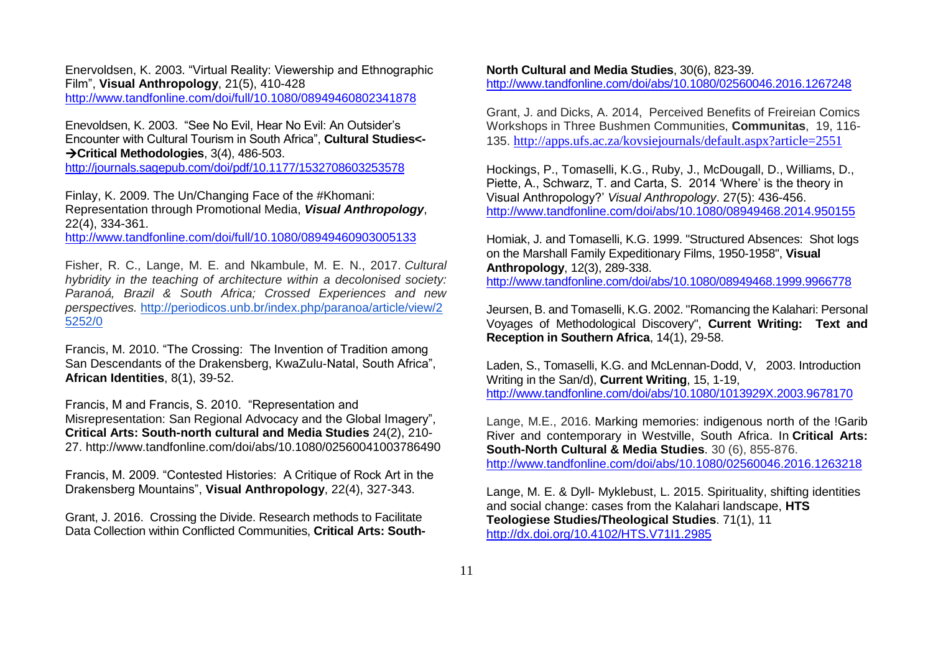Enervoldsen, K. 2003. "Virtual Reality: Viewership and Ethnographic Film", **Visual Anthropology**, 21(5), 410-428 <http://www.tandfonline.com/doi/full/10.1080/08949460802341878>

Enevoldsen, K. 2003. "See No Evil, Hear No Evil: An Outsider's Encounter with Cultural Tourism in South Africa", **Cultural Studies<-** →**Critical Methodologies**, 3(4), 486-503.

<http://journals.sagepub.com/doi/pdf/10.1177/1532708603253578>

Finlay, K. 2009. The Un/Changing Face of the #Khomani: Representation through Promotional Media, *Visual Anthropology*, 22(4), 334-361.

<http://www.tandfonline.com/doi/full/10.1080/08949460903005133>

Fisher, R. C., Lange, M. E. and Nkambule, M. E. N., 2017. *Cultural hybridity in the teaching of architecture within a decolonised society: Paranoá, Brazil & South Africa; Crossed Experiences and new perspectives.* [http://periodicos.unb.br/index.php/paranoa/article/view/2](http://periodicos.unb.br/index.php/paranoa/article/view/25252/0) [5252/0](http://periodicos.unb.br/index.php/paranoa/article/view/25252/0) 

Francis, M. 2010. "The Crossing: The Invention of Tradition among San Descendants of the Drakensberg, KwaZulu-Natal, South Africa", **African Identities**, 8(1), 39-52.

Francis, M and Francis, S. 2010. "Representation and Misrepresentation: San Regional Advocacy and the Global Imagery", **Critical Arts: South-north cultural and Media Studies** 24(2), 210- 27. http://www.tandfonline.com/doi/abs/10.1080/02560041003786490

Francis, M. 2009. "Contested Histories: A Critique of Rock Art in the Drakensberg Mountains", **Visual Anthropology**, 22(4), 327-343.

Grant, J. 2016. Crossing the Divide. Research methods to Facilitate Data Collection within Conflicted Communities, **Critical Arts: South-**

**North Cultural and Media Studies**, 30(6), 823-39. <http://www.tandfonline.com/doi/abs/10.1080/02560046.2016.1267248>

Grant, J. and Dicks, A. 2014, Perceived Benefits of Freireian Comics Workshops in Three Bushmen Communities, **Communitas**, 19, 116- 135. <http://apps.ufs.ac.za/kovsiejournals/default.aspx?article=2551>

Hockings, P., Tomaselli, K.G., Ruby, J., McDougall, D., Williams, D., Piette, A., Schwarz, T. and Carta, S. 2014 'Where' is the theory in Visual Anthropology?' *Visual Anthropology*. 27(5): 436-456. <http://www.tandfonline.com/doi/abs/10.1080/08949468.2014.950155>

Homiak, J. and Tomaselli, K.G. 1999. "Structured Absences: Shot logs on the Marshall Family Expeditionary Films, 1950-1958", **Visual Anthropology**, 12(3), 289-338. <http://www.tandfonline.com/doi/abs/10.1080/08949468.1999.9966778>

Jeursen, B. and Tomaselli, K.G. 2002. "Romancing the Kalahari: Personal Voyages of Methodological Discovery", **Current Writing: Text and Reception in Southern Africa**, 14(1), 29-58.

Laden, S., Tomaselli, K.G. and McLennan-Dodd, V, 2003. Introduction Writing in the San/d), **Current Writing**, 15, 1-19, <http://www.tandfonline.com/doi/abs/10.1080/1013929X.2003.9678170>

Lange, M.E., 2016. [Marking memories: indigenous north of the !Garib](http://www.tandfonline.com/doi/full/10.1080/02560046.2016.1263218)  [River and contemporary in Westville, South Africa.](http://www.tandfonline.com/doi/full/10.1080/02560046.2016.1263218) In **[Critical Arts:](http://www.tandfonline.com/toc/rcrc20/30/6)  [South-North Cultural & Media Studies](http://www.tandfonline.com/toc/rcrc20/30/6)**. 30 (6), 855-876.

<http://www.tandfonline.com/doi/abs/10.1080/02560046.2016.1263218>

Lange, M. E. & Dyll- Myklebust, L. 2015. Spirituality, shifting identities and social change: cases from the Kalahari landscape, **HTS Teologiese Studies/Theological Studies**. 71(1), 11 <http://dx.doi.org/10.4102/HTS.V71I1.2985>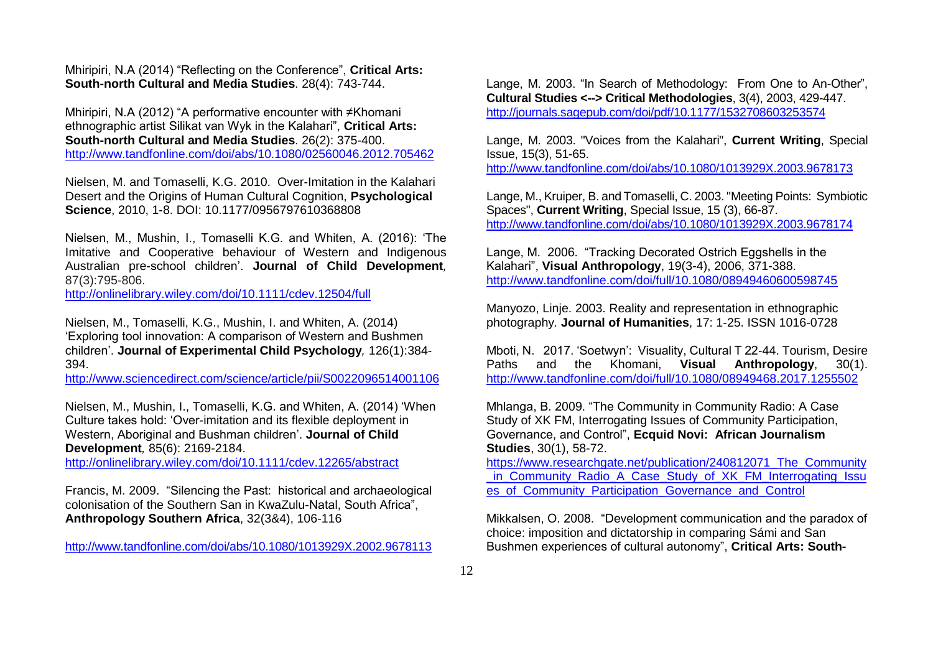#### Mhiripiri, N.A (2014) "Reflecting on the Conference", **Critical Arts: South-north Cultural and Media Studies**. 28(4): 743-744.

Mhiripiri, N.A (2012) "A performative encounter with ≠Khomani ethnographic artist Silikat van Wyk in the Kalahari", **Critical Arts: South-north Cultural and Media Studies**. 26(2): 375-400. <http://www.tandfonline.com/doi/abs/10.1080/02560046.2012.705462>

Nielsen, M. and Tomaselli, K.G. 2010. Over-Imitation in the Kalahari Desert and the Origins of Human Cultural Cognition, **Psychological Science**, 2010, 1-8. DOI: 10.1177/0956797610368808

Nielsen, M., Mushin, I., Tomaselli K.G. and Whiten, A. (2016): 'The Imitative and Cooperative behaviour of Western and Indigenous Australian pre-school children'. **Journal of Child Development***,*  87(3):795-806.

<http://onlinelibrary.wiley.com/doi/10.1111/cdev.12504/full>

Nielsen, M., Tomaselli, K.G., Mushin, I. and Whiten, A. (2014) 'Exploring tool innovation: A comparison of Western and Bushmen children'. **Journal of Experimental Child Psychology***,* 126(1):384- 394.

<http://www.sciencedirect.com/science/article/pii/S0022096514001106>

Nielsen, M., Mushin, I., Tomaselli, K.G. and Whiten, A. (2014) 'When Culture takes hold: 'Over-imitation and its flexible deployment in Western, Aboriginal and Bushman children'. **Journal of Child Development***,* 85(6): 2169-2184.

<http://onlinelibrary.wiley.com/doi/10.1111/cdev.12265/abstract>

Francis, M. 2009. "Silencing the Past: historical and archaeological colonisation of the Southern San in KwaZulu-Natal, South Africa", **Anthropology Southern Africa**, 32(3&4), 106-116

<http://www.tandfonline.com/doi/abs/10.1080/1013929X.2002.9678113>

Lange, M. 2003. "In Search of Methodology: From One to An-Other", **Cultural Studies <--> Critical Methodologies**, 3(4), 2003, 429-447. <http://journals.sagepub.com/doi/pdf/10.1177/1532708603253574>

Lange, M. 2003. "Voices from the Kalahari", **Current Writing**, Special Issue, 15(3), 51-65. <http://www.tandfonline.com/doi/abs/10.1080/1013929X.2003.9678173>

Lange, M., Kruiper, B. and Tomaselli, C. 2003. "Meeting Points: Symbiotic Spaces", **Current Writing**, Special Issue, 15 (3), 66-87. <http://www.tandfonline.com/doi/abs/10.1080/1013929X.2003.9678174>

Lange, M. 2006. "Tracking Decorated Ostrich Eggshells in the Kalahari", **Visual Anthropology**, 19(3-4), 2006, 371-388. <http://www.tandfonline.com/doi/full/10.1080/08949460600598745>

Manyozo, Linje. 2003. Reality and representation in ethnographic photography*.* **Journal of Humanities**, 17: 1-25. ISSN 1016-0728

Mboti, N. 2017. 'Soetwyn': Visuality, Cultural T 22-44. Tourism, Desire Paths and the Khomani, **Visual Anthropology**, 30(1). <http://www.tandfonline.com/doi/full/10.1080/08949468.2017.1255502>

Mhlanga, B. 2009. "The Community in Community Radio: A Case Study of XK FM, Interrogating Issues of Community Participation, Governance, and Control", **Ecquid Novi: African Journalism Studies**, 30(1), 58-72.

[https://www.researchgate.net/publication/240812071\\_The\\_Community](https://www.researchgate.net/publication/240812071_The_Community_in_Community_Radio_A_Case_Study_of_XK_FM_Interrogating_Issues_of_Community_Participation_Governance_and_Control) in Community Radio A Case Study of XK FM Interrogating Issu [es\\_of\\_Community\\_Participation\\_Governance\\_and\\_Control](https://www.researchgate.net/publication/240812071_The_Community_in_Community_Radio_A_Case_Study_of_XK_FM_Interrogating_Issues_of_Community_Participation_Governance_and_Control)

Mikkalsen, O. 2008. "Development communication and the paradox of choice: imposition and dictatorship in comparing Sámi and San Bushmen experiences of cultural autonomy", **Critical Arts: South-**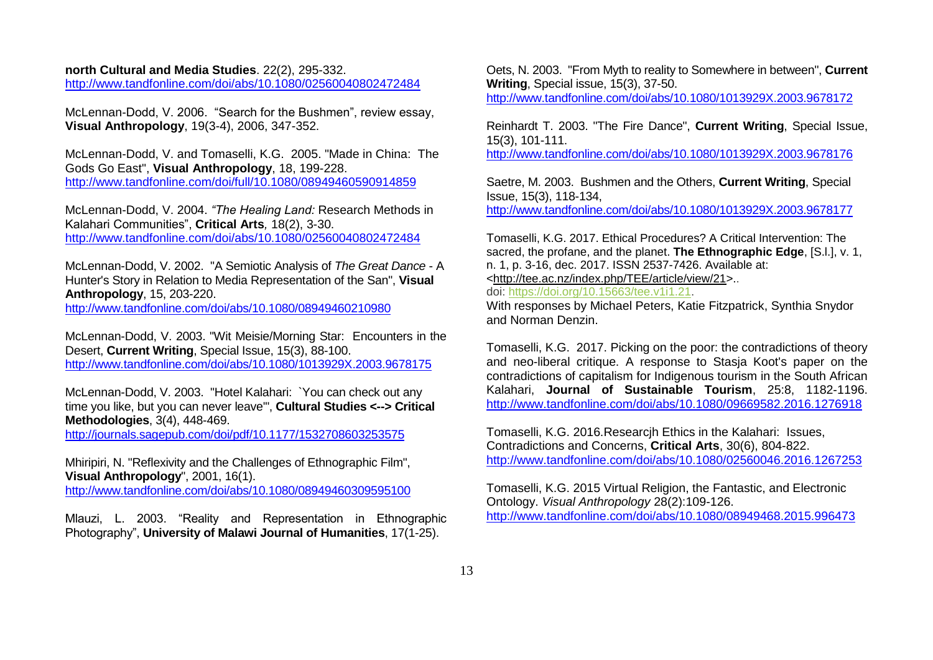**north Cultural and Media Studies**. 22(2), 295-332. <http://www.tandfonline.com/doi/abs/10.1080/02560040802472484>

McLennan-Dodd, V. 2006. "Search for the Bushmen", review essay, **Visual Anthropology**, 19(3-4), 2006, 347-352.

McLennan-Dodd, V. and Tomaselli, K.G. 2005. "Made in China: The Gods Go East", **Visual Anthropology**, 18, 199-228. <http://www.tandfonline.com/doi/full/10.1080/08949460590914859>

McLennan-Dodd, V. 2004. *"The Healing Land:* Research Methods in Kalahari Communities", **Critical Arts***,* 18(2), 3-30. <http://www.tandfonline.com/doi/abs/10.1080/02560040802472484>

McLennan-Dodd, V. 2002. "A Semiotic Analysis of *The Great Dance* - A Hunter's Story in Relation to Media Representation of the San", **Visual Anthropology**, 15, 203-220.

<http://www.tandfonline.com/doi/abs/10.1080/08949460210980>

McLennan-Dodd, V. 2003. "Wit Meisie/Morning Star: Encounters in the Desert, **Current Writing**, Special Issue, 15(3), 88-100. <http://www.tandfonline.com/doi/abs/10.1080/1013929X.2003.9678175>

McLennan-Dodd, V. 2003. "Hotel Kalahari: `You can check out any time you like, but you can never leave'", **Cultural Studies <--> Critical Methodologies**, 3(4), 448-469.

<http://journals.sagepub.com/doi/pdf/10.1177/1532708603253575>

Mhiripiri, N. "Reflexivity and the Challenges of Ethnographic Film", **Visual Anthropology**", 2001, 16(1).

<http://www.tandfonline.com/doi/abs/10.1080/08949460309595100>

Mlauzi, L. 2003. "Reality and Representation in Ethnographic Photography", **University of Malawi Journal of Humanities**, 17(1-25).

Oets, N. 2003. "From Myth to reality to Somewhere in between", **Current Writing**, Special issue, 15(3), 37-50. <http://www.tandfonline.com/doi/abs/10.1080/1013929X.2003.9678172>

Reinhardt T. 2003. "The Fire Dance", **Current Writing**, Special Issue, 15(3), 101-111.

<http://www.tandfonline.com/doi/abs/10.1080/1013929X.2003.9678176>

Saetre, M. 2003. Bushmen and the Others, **Current Writing**, Special Issue, 15(3), 118-134,

<http://www.tandfonline.com/doi/abs/10.1080/1013929X.2003.9678177>

Tomaselli, K.G. 2017. Ethical Procedures? A Critical Intervention: The sacred, the profane, and the planet. **The Ethnographic Edge**, [S.l.], v. 1, n. 1, p. 3-16, dec. 2017. ISSN 2537-7426. Available at: [<http://tee.ac.nz/index.php/TEE/article/view/21>](http://tee.ac.nz/index.php/TEE/article/view/21).. doi: [https://doi.org/10.15663/tee.v1i1.21.](https://doi.org/10.15663/tee.v1i1.21)

With responses by Michael Peters, Katie Fitzpatrick, Synthia Snydor and Norman Denzin.

Tomaselli, K.G. 2017. Picking on the poor: the contradictions of theory and neo-liberal critique. A response to Stasja Koot's paper on the contradictions of capitalism for Indigenous tourism in the South African Kalahari, **Journal of Sustainable Tourism**, 25:8, 1182-1196. <http://www.tandfonline.com/doi/abs/10.1080/09669582.2016.1276918>

Tomaselli, K.G. 2016.Researcjh Ethics in the Kalahari: Issues, Contradictions and Concerns, **Critical Arts**, 30(6), 804-822. <http://www.tandfonline.com/doi/abs/10.1080/02560046.2016.1267253>

Tomaselli, K.G. 2015 Virtual Religion, the Fantastic, and Electronic Ontology. *Visual Anthropology* 28(2):109-126. <http://www.tandfonline.com/doi/abs/10.1080/08949468.2015.996473>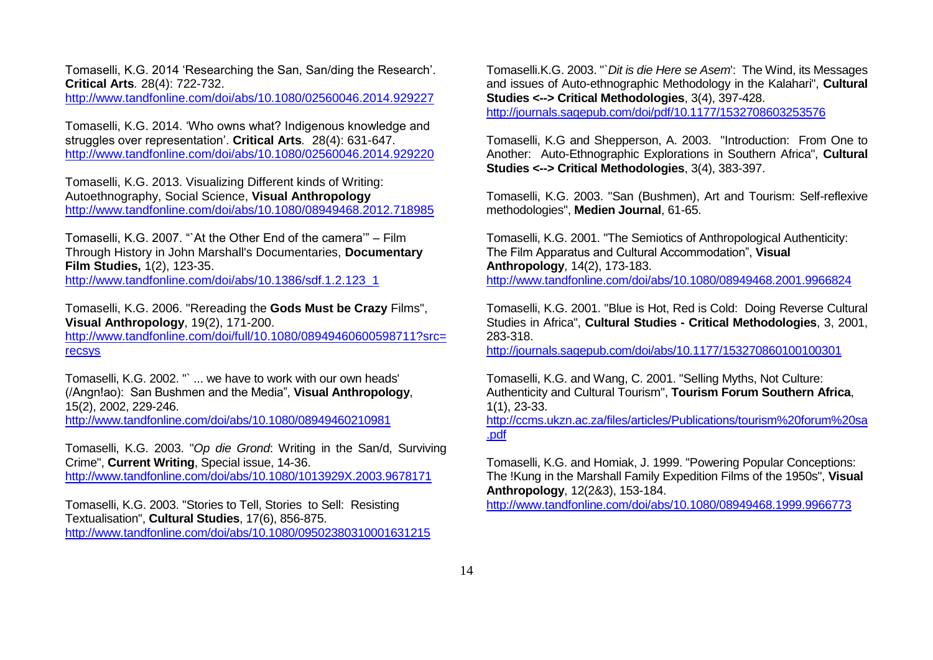Tomaselli, K.G. 2014 'Researching the San, San/ding the Research'. **Critical Arts***.* 28(4): 722-732.

<http://www.tandfonline.com/doi/abs/10.1080/02560046.2014.929227>

Tomaselli, K.G. 2014. 'Who owns what? Indigenous knowledge and struggles over representation'. **Critical Arts***.* 28(4): 631-647. <http://www.tandfonline.com/doi/abs/10.1080/02560046.2014.929220>

Tomaselli, K.G. 2013. Visualizing Different kinds of Writing: Autoethnography, Social Science, **Visual Anthropology** <http://www.tandfonline.com/doi/abs/10.1080/08949468.2012.718985>

Tomaselli, K.G. 2007. "`At the Other End of the camera'" – Film Through History in John Marshall's Documentaries, **Documentary Film Studies,** 1(2), 123-35.

[http://www.tandfonline.com/doi/abs/10.1386/sdf.1.2.123\\_1](http://www.tandfonline.com/doi/abs/10.1386/sdf.1.2.123_1)

Tomaselli, K.G. 2006. "Rereading the **Gods Must be Crazy** Films", **Visual Anthropology**, 19(2), 171-200.

[http://www.tandfonline.com/doi/full/10.1080/08949460600598711?src=](http://www.tandfonline.com/doi/full/10.1080/08949460600598711?src=recsys) [recsys](http://www.tandfonline.com/doi/full/10.1080/08949460600598711?src=recsys)

Tomaselli, K.G. 2002. "` ... we have to work with our own heads' (/Angn!ao): San Bushmen and the Media", **Visual Anthropology**, 15(2), 2002, 229-246. <http://www.tandfonline.com/doi/abs/10.1080/08949460210981>

Tomaselli, K.G. 2003. "*Op die Grond*: Writing in the San/d, Surviving Crime", **Current Writing**, Special issue, 14-36. <http://www.tandfonline.com/doi/abs/10.1080/1013929X.2003.9678171>

Tomaselli, K.G. 2003. "Stories to Tell, Stories to Sell: Resisting Textualisation", **Cultural Studies**, 17(6), 856-875. <http://www.tandfonline.com/doi/abs/10.1080/09502380310001631215> Tomaselli.K.G. 2003. "`*Dit is die Here se Asem*': The Wind, its Messages and issues of Auto-ethnographic Methodology in the Kalahari", **Cultural Studies <--> Critical Methodologies**, 3(4), 397-428.

<http://journals.sagepub.com/doi/pdf/10.1177/1532708603253576>

Tomaselli, K.G and Shepperson, A. 2003. "Introduction: From One to Another: Auto-Ethnographic Explorations in Southern Africa", **Cultural Studies <--> Critical Methodologies**, 3(4), 383-397.

Tomaselli, K.G. 2003. "San (Bushmen), Art and Tourism: Self-reflexive methodologies", **Medien Journal**, 61-65.

Tomaselli, K.G. 2001. "The Semiotics of Anthropological Authenticity: The Film Apparatus and Cultural Accommodation", **Visual Anthropology**, 14(2), 173-183. <http://www.tandfonline.com/doi/abs/10.1080/08949468.2001.9966824>

Tomaselli, K.G. 2001. "Blue is Hot, Red is Cold: Doing Reverse Cultural Studies in Africa", **Cultural Studies - Critical Methodologies**, 3, 2001, 283-318.

<http://journals.sagepub.com/doi/abs/10.1177/153270860100100301>

Tomaselli, K.G. and Wang, C. 2001. "Selling Myths, Not Culture: Authenticity and Cultural Tourism", **Tourism Forum Southern Africa**, 1(1), 23-33.

[http://ccms.ukzn.ac.za/files/articles/Publications/tourism%20forum%20sa](http://ccms.ukzn.ac.za/files/articles/Publications/tourism%20forum%20sa.pdf) [.pdf](http://ccms.ukzn.ac.za/files/articles/Publications/tourism%20forum%20sa.pdf)

Tomaselli, K.G. and Homiak, J. 1999. "Powering Popular Conceptions: The !Kung in the Marshall Family Expedition Films of the 1950s", **Visual Anthropology**, 12(2&3), 153-184.

<http://www.tandfonline.com/doi/abs/10.1080/08949468.1999.9966773>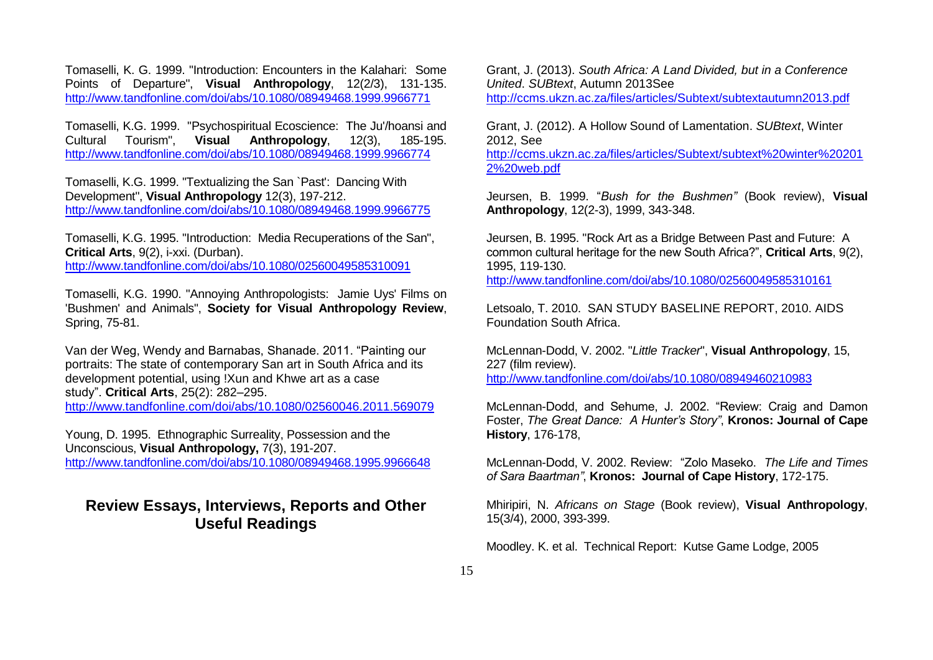Tomaselli, K. G. 1999. "Introduction: Encounters in the Kalahari: Some Points of Departure", **Visual Anthropology**, 12(2/3), 131-135. <http://www.tandfonline.com/doi/abs/10.1080/08949468.1999.9966771>

Tomaselli, K.G. 1999. "Psychospiritual Ecoscience: The Ju'/hoansi and Cultural Tourism", **Visual Anthropology**, 12(3), 185-195. <http://www.tandfonline.com/doi/abs/10.1080/08949468.1999.9966774>

Tomaselli, K.G. 1999. "Textualizing the San `Past': Dancing With Development", **Visual Anthropology** 12(3), 197-212. <http://www.tandfonline.com/doi/abs/10.1080/08949468.1999.9966775>

Tomaselli, K.G. 1995. "Introduction: Media Recuperations of the San", **Critical Arts**, 9(2), i-xxi. (Durban). <http://www.tandfonline.com/doi/abs/10.1080/02560049585310091>

Tomaselli, K.G. 1990. "Annoying Anthropologists: Jamie Uys' Films on 'Bushmen' and Animals", **Society for Visual Anthropology Review**, Spring, 75-81.

Van der Weg, Wendy and Barnabas, Shanade. 2011. "Painting our portraits: The state of contemporary San art in South Africa and its development potential, using !Xun and Khwe art as a case study". **Critical Arts**, 25(2): 282–295. <http://www.tandfonline.com/doi/abs/10.1080/02560046.2011.569079>

Young, D. 1995. Ethnographic Surreality, Possession and the Unconscious, **Visual Anthropology,** 7(3), 191-207. <http://www.tandfonline.com/doi/abs/10.1080/08949468.1995.9966648>

# **Review Essays, Interviews, Reports and Other Useful Readings**

Grant, J. (2013). *South Africa: A Land Divided, but in a Conference United*. *SUBtext*, Autumn 2013See <http://ccms.ukzn.ac.za/files/articles/Subtext/subtextautumn2013.pdf>

Grant, J. (2012). A Hollow Sound of Lamentation. *SUBtext*, Winter 2012, See

[http://ccms.ukzn.ac.za/files/articles/Subtext/subtext%20winter%20201](http://ccms.ukzn.ac.za/files/articles/Subtext/subtext%20winter%202012%20web.pdf) [2%20web.pdf](http://ccms.ukzn.ac.za/files/articles/Subtext/subtext%20winter%202012%20web.pdf)

Jeursen, B. 1999. "*Bush for the Bushmen"* (Book review), **Visual Anthropology**, 12(2-3), 1999, 343-348.

Jeursen, B. 1995. "Rock Art as a Bridge Between Past and Future: A common cultural heritage for the new South Africa?", **Critical Arts**, 9(2), 1995, 119-130.

<http://www.tandfonline.com/doi/abs/10.1080/02560049585310161>

Letsoalo, T. 2010. SAN STUDY BASELINE REPORT, 2010. AIDS Foundation South Africa.

McLennan-Dodd, V. 2002. "*Little Tracker*", **Visual Anthropology**, 15, 227 (film review). <http://www.tandfonline.com/doi/abs/10.1080/08949460210983>

McLennan-Dodd, and Sehume, J. 2002. "Review: Craig and Damon Foster, *The Great Dance: A Hunter's Story"*, **Kronos: Journal of Cape History**, 176-178,

McLennan-Dodd, V. 2002. Review: "Zolo Maseko. *The Life and Times of Sara Baartman"*, **Kronos: Journal of Cape History**, 172-175.

Mhiripiri, N. *Africans on Stage* (Book review), **Visual Anthropology**, 15(3/4), 2000, 393-399.

Moodley. K. et al. Technical Report: Kutse Game Lodge, 2005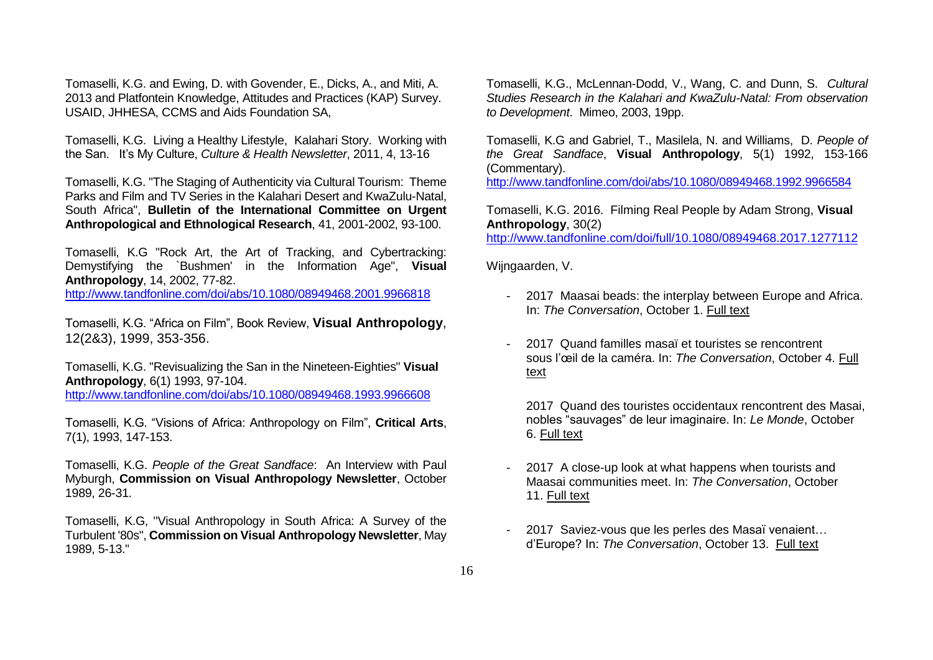Tomaselli, K.G. and Ewing, D. with Govender, E., Dicks, A., and Miti, A. 2013 and Platfontein Knowledge, Attitudes and Practices (KAP) Survey. USAID, JHHESA, CCMS and Aids Foundation SA,

Tomaselli, K.G. Living a Healthy Lifestyle, Kalahari Story. Working with the San. It's My Culture, *Culture & Health Newsletter*, 2011, 4, 13-16

Tomaselli, K.G. "The Staging of Authenticity via Cultural Tourism: Theme Parks and Film and TV Series in the Kalahari Desert and KwaZulu-Natal, South Africa", **Bulletin of the International Committee on Urgent Anthropological and Ethnological Research**, 41, 2001-2002, 93-100.

Tomaselli, K.G "Rock Art, the Art of Tracking, and Cybertracking: Demystifying the `Bushmen' in the Information Age", **Visual Anthropology**, 14, 2002, 77-82. <http://www.tandfonline.com/doi/abs/10.1080/08949468.2001.9966818>

Tomaselli, K.G. "Africa on Film", Book Review, **Visual Anthropology**, 12(2&3), 1999, 353-356.

Tomaselli, K.G. "Revisualizing the San in the Nineteen-Eighties" **Visual Anthropology**, 6(1) 1993, 97-104. <http://www.tandfonline.com/doi/abs/10.1080/08949468.1993.9966608>

Tomaselli, K.G. "Visions of Africa: Anthropology on Film", **Critical Arts**, 7(1), 1993, 147-153.

Tomaselli, K.G. *People of the Great Sandface*: An Interview with Paul Myburgh, **Commission on Visual Anthropology Newsletter**, October 1989, 26-31.

Tomaselli, K.G, "Visual Anthropology in South Africa: A Survey of the Turbulent '80s", **Commission on Visual Anthropology Newsletter**, May 1989, 5-13."

Tomaselli, K.G., McLennan-Dodd, V., Wang, C. and Dunn, S. *Cultural Studies Research in the Kalahari and KwaZulu-Natal: From observation to Development*. Mimeo, 2003, 19pp.

Tomaselli, K.G and Gabriel, T., Masilela, N. and Williams, D. *People of the Great Sandface*, **Visual Anthropology**, 5(1) 1992, 153-166 (Commentary).

<http://www.tandfonline.com/doi/abs/10.1080/08949468.1992.9966584>

Tomaselli, K.G. 2016. Filming Real People by Adam Strong, **Visual Anthropology**, 30(2)

<http://www.tandfonline.com/doi/full/10.1080/08949468.2017.1277112>

Wijngaarden, V.

- 2017 Maasai beads: the interplay between Europe and Africa. In: *The Conversation*, October 1. [Full text](https://theconversation.com/maasai-beads-the-interplay-between-europe-and-africa-84109)
- 2017 Quand familles masaï et touristes se rencontrent sous l'œil de la caméra. In: *The Conversation*, October 4. [Full](https://theconversation.com/quand-familles-masa-et-touristes-se-rencontrent-sous-loeil-de-la-camera-84924?utm)  [text](https://theconversation.com/quand-familles-masa-et-touristes-se-rencontrent-sous-loeil-de-la-camera-84924?utm)

2017 Quand des touristes occidentaux rencontrent des Masai, nobles "sauvages" de leur imaginaire. In: *Le Monde*, October 6. [Full text](http://www.lemonde.fr/afrique/article/2017/10/06/quand-des-touristes-occidentaux-rencontrent-des-masai-nobles-sauvages-de-leur-imaginaire_5197020_3212.html)

- 2017 A close-up look at what happens when tourists and Maasai communities meet. In: *The Conversation*, October 11. [Full text](https://theconversation.com/a-close-up-look-at-what-happens-when-tourists-and-maasai-communities-meet-84095)
- 2017 Saviez-vous que les perles des Masaï venaient… d'Europe? In: *The Conversation*, October 13. [Full text](http://theconversation.com/saviez-vous-que-les-perles-des-masa-venaient-deurope-84532)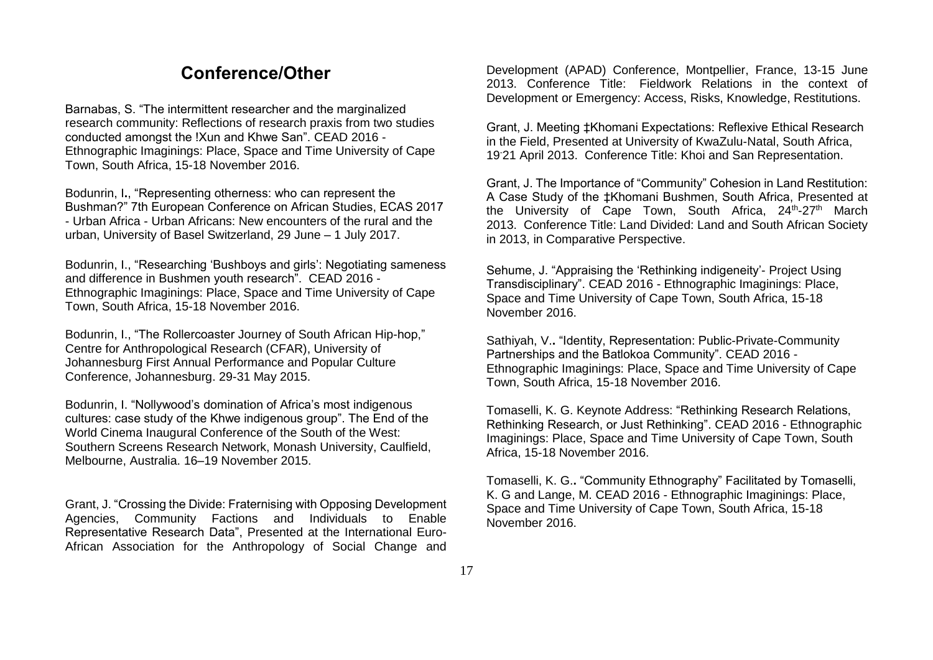# **Conference/Other**

Barnabas, S. "The intermittent researcher and the marginalized research community: Reflections of research praxis from two studies conducted amongst the !Xun and Khwe San". CEAD 2016 - Ethnographic Imaginings: Place, Space and Time University of Cape Town, South Africa, 15-18 November 2016.

Bodunrin, I**.**, "Representing otherness: who can represent the Bushman?" 7th European Conference on African Studies, ECAS 2017 - Urban Africa - Urban Africans: New encounters of the rural and the urban, University of Basel Switzerland, 29 June – 1 July 2017.

Bodunrin, I., "Researching 'Bushboys and girls': Negotiating sameness and difference in Bushmen youth research". CEAD 2016 - Ethnographic Imaginings: Place, Space and Time University of Cape Town, South Africa, 15-18 November 2016.

Bodunrin, I., "The Rollercoaster Journey of South African Hip-hop," Centre for Anthropological Research (CFAR), University of Johannesburg First Annual Performance and Popular Culture Conference, Johannesburg. 29-31 May 2015.

Bodunrin, I. "Nollywood's domination of Africa's most indigenous cultures: case study of the Khwe indigenous group". The End of the World Cinema Inaugural Conference of the South of the West: Southern Screens Research Network, Monash University, Caulfield, Melbourne, Australia. 16–19 November 2015.

Grant, J. "Crossing the Divide: Fraternising with Opposing Development Agencies, Community Factions and Individuals to Enable Representative Research Data", Presented at the International Euro-African Association for the Anthropology of Social Change and

Development (APAD) Conference, Montpellier, France, 13-15 June 2013. Conference Title: Fieldwork Relations in the context of Development or Emergency: Access, Risks, Knowledge, Restitutions.

Grant, J. Meeting ‡Khomani Expectations: Reflexive Ethical Research in the Field, Presented at University of KwaZulu-Natal, South Africa, 19-21 April 2013. Conference Title: Khoi and San Representation.

Grant, J. The Importance of "Community" Cohesion in Land Restitution: A Case Study of the ‡Khomani Bushmen, South Africa, Presented at the University of Cape Town, South Africa, 24<sup>th</sup>-27<sup>th</sup> March 2013. Conference Title: Land Divided: Land and South African Society in 2013, in Comparative Perspective.

Sehume, J. "Appraising the 'Rethinking indigeneity'- Project Using Transdisciplinary". CEAD 2016 - Ethnographic Imaginings: Place, Space and Time University of Cape Town, South Africa, 15-18 November 2016.

Sathiyah, V.**.** "Identity, Representation: Public-Private-Community Partnerships and the Batlokoa Community". CEAD 2016 - Ethnographic Imaginings: Place, Space and Time University of Cape Town, South Africa, 15-18 November 2016.

Tomaselli, K. G. Keynote Address: "Rethinking Research Relations, Rethinking Research, or Just Rethinking". CEAD 2016 - Ethnographic Imaginings: Place, Space and Time University of Cape Town, South Africa, 15-18 November 2016.

Tomaselli, K. G.**.** "Community Ethnography" Facilitated by Tomaselli, K. G and Lange, M. CEAD 2016 - Ethnographic Imaginings: Place, Space and Time University of Cape Town, South Africa, 15-18 November 2016.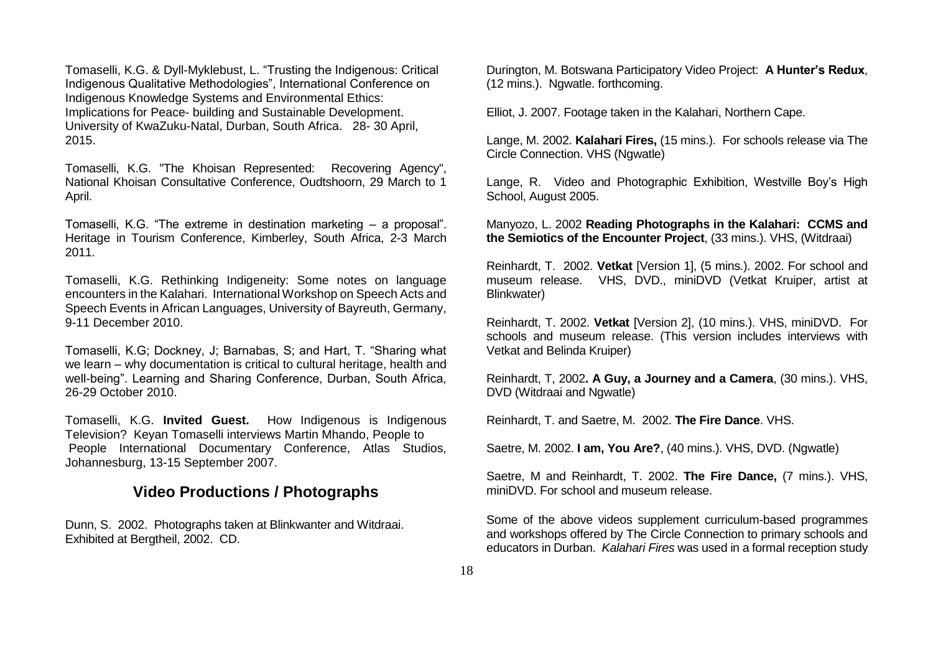Tomaselli, K.G. & Dyll-Myklebust, L. "Trusting the Indigenous: Critical Indigenous Qualitative Methodologies", International Conference on Indigenous Knowledge Systems and Environmental Ethics: Implications for Peace- building and Sustainable Development. University of KwaZuku-Natal, Durban, South Africa. 28- 30 April, 2015.

Tomaselli, K.G. "The Khoisan Represented: Recovering Agency", National Khoisan Consultative Conference, Oudtshoorn, 29 March to 1 April.

Tomaselli, K.G. "The extreme in destination marketing – a proposal". Heritage in Tourism Conference, Kimberley, South Africa, 2-3 March 2011.

Tomaselli, K.G. Rethinking Indigeneity: Some notes on language encounters in the Kalahari. International Workshop on Speech Acts and Speech Events in African Languages, University of Bayreuth, Germany, 9-11 December 2010.

Tomaselli, K.G; Dockney, J; Barnabas, S; and Hart, T. "Sharing what we learn – why documentation is critical to cultural heritage, health and well-being". Learning and Sharing Conference, Durban, South Africa, 26-29 October 2010.

Tomaselli, K.G. **Invited Guest.** How Indigenous is Indigenous Television? Keyan Tomaselli interviews Martin Mhando, People to People International Documentary Conference, Atlas Studios, Johannesburg, 13-15 September 2007.

### **Video Productions / Photographs**

Dunn, S. 2002. Photographs taken at Blinkwanter and Witdraai. Exhibited at Bergtheil, 2002. CD.

Durington, M. Botswana Participatory Video Project: **A Hunter's Redux**, (12 mins.). Ngwatle. forthcoming.

Elliot, J. 2007. Footage taken in the Kalahari, Northern Cape.

Lange, M. 2002. **Kalahari Fires,** (15 mins.). For schools release via The Circle Connection. VHS (Ngwatle)

Lange, R. Video and Photographic Exhibition, Westville Boy's High School, August 2005.

Manyozo, L. 2002 **Reading Photographs in the Kalahari: CCMS and the Semiotics of the Encounter Project**, (33 mins.). VHS, (Witdraai)

Reinhardt, T. 2002. **Vetkat** [Version 1], (5 mins.). 2002. For school and museum release. VHS, DVD., miniDVD (Vetkat Kruiper, artist at Blinkwater)

Reinhardt, T. 2002. **Vetkat** [Version 2], (10 mins.). VHS, miniDVD. For schools and museum release. (This version includes interviews with Vetkat and Belinda Kruiper)

Reinhardt, T, 2002**. A Guy, a Journey and a Camera**, (30 mins.). VHS, DVD (Witdraai and Ngwatle)

Reinhardt, T. and Saetre, M. 2002. **The Fire Dance**. VHS.

Saetre, M. 2002. **I am, You Are?**, (40 mins.). VHS, DVD. (Ngwatle)

Saetre, M and Reinhardt, T. 2002. **The Fire Dance,** (7 mins.). VHS, miniDVD. For school and museum release.

Some of the above videos supplement curriculum-based programmes and workshops offered by The Circle Connection to primary schools and educators in Durban. *Kalahari Fires* was used in a formal reception study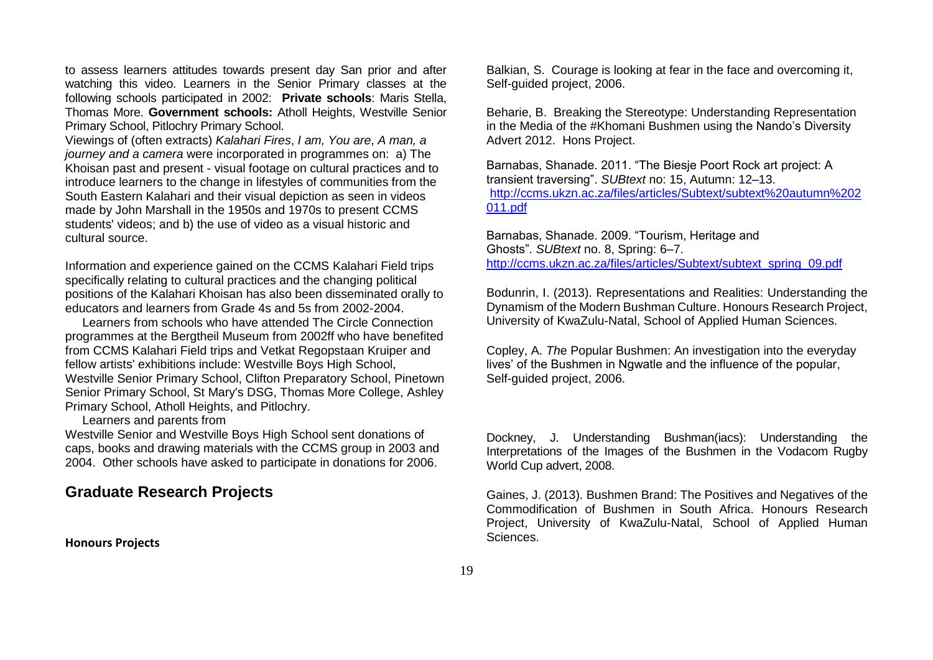to assess learners attitudes towards present day San prior and after watching this video. Learners in the Senior Primary classes at the following schools participated in 2002: **Private schools**: Maris Stella, Thomas More. **Government schools:** Atholl Heights, Westville Senior Primary School, Pitlochry Primary School.

Viewings of (often extracts) *Kalahari Fires*, *I am, You are*, *A man, a journey and a camera* were incorporated in programmes on: a) The Khoisan past and present - visual footage on cultural practices and to introduce learners to the change in lifestyles of communities from the South Eastern Kalahari and their visual depiction as seen in videos made by John Marshall in the 1950s and 1970s to present CCMS students' videos; and b) the use of video as a visual historic and cultural source.

Information and experience gained on the CCMS Kalahari Field trips specifically relating to cultural practices and the changing political positions of the Kalahari Khoisan has also been disseminated orally to educators and learners from Grade 4s and 5s from 2002-2004.

 Learners from schools who have attended The Circle Connection programmes at the Bergtheil Museum from 2002ff who have benefited from CCMS Kalahari Field trips and Vetkat Regopstaan Kruiper and fellow artists' exhibitions include: Westville Boys High School, Westville Senior Primary School, Clifton Preparatory School, Pinetown Senior Primary School, St Mary's DSG, Thomas More College, Ashley Primary School, Atholl Heights, and Pitlochry.

Learners and parents from

Westville Senior and Westville Boys High School sent donations of caps, books and drawing materials with the CCMS group in 2003 and 2004. Other schools have asked to participate in donations for 2006.

### **Graduate Research Projects**

**Honours Projects**

Balkian, S. Courage is looking at fear in the face and overcoming it, Self-guided project, 2006.

Beharie, B. Breaking the Stereotype: Understanding Representation in the Media of the #Khomani Bushmen using the Nando's Diversity Advert 2012. Hons Project.

Barnabas, Shanade. 2011. "The Biesje Poort Rock art project: A transient traversing". *SUBtext* no: 15, Autumn: 12–13. [http://ccms.ukzn.ac.za/files/articles/Subtext/subtext%20autumn%202](http://ccms.ukzn.ac.za/files/articles/Subtext/subtext%20autumn%202011.pdf) [011.pdf](http://ccms.ukzn.ac.za/files/articles/Subtext/subtext%20autumn%202011.pdf)

Barnabas, Shanade. 2009. "Tourism, Heritage and Ghosts". *SUBtext* no. 8, Spring: 6–7. [http://ccms.ukzn.ac.za/files/articles/Subtext/subtext\\_spring\\_09.pdf](http://ccms.ukzn.ac.za/files/articles/Subtext/subtext_spring_09.pdf)

Bodunrin, I. (2013). Representations and Realities: Understanding the Dynamism of the Modern Bushman Culture. Honours Research Project, University of KwaZulu-Natal, School of Applied Human Sciences.

Copley, A. *Th*e Popular Bushmen: An investigation into the everyday lives' of the Bushmen in Ngwatle and the influence of the popular, Self-guided project, 2006.

Dockney, J. Understanding Bushman(iacs): Understanding the Interpretations of the Images of the Bushmen in the Vodacom Rugby World Cup advert, 2008.

Gaines, J. (2013). Bushmen Brand: The Positives and Negatives of the Commodification of Bushmen in South Africa. Honours Research Project, University of KwaZulu-Natal, School of Applied Human Sciences.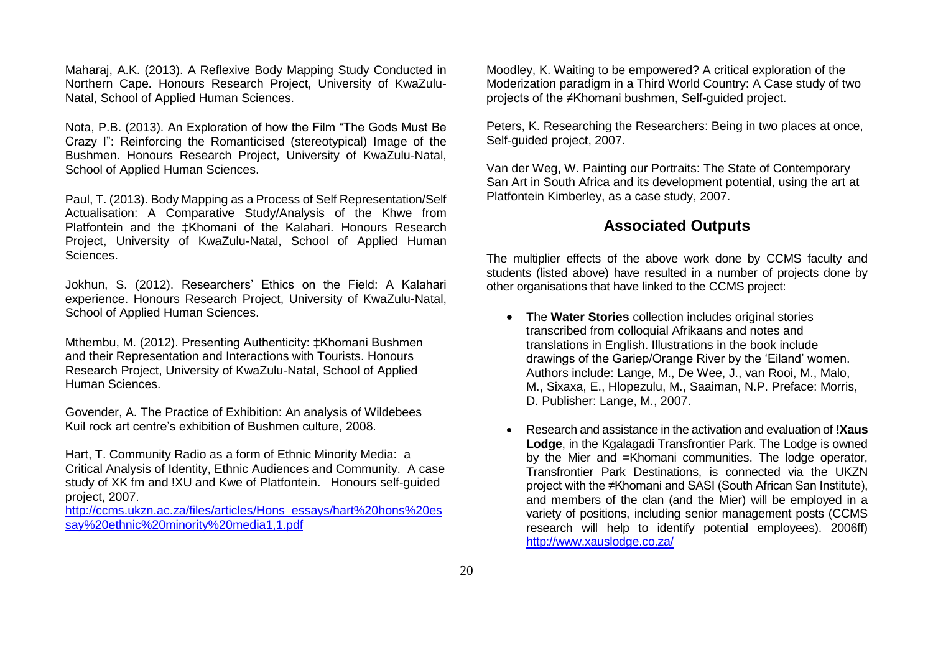Maharaj, A.K. (2013). A Reflexive Body Mapping Study Conducted in Northern Cape. Honours Research Project, University of KwaZulu-Natal, School of Applied Human Sciences.

Nota, P.B. (2013). An Exploration of how the Film "The Gods Must Be Crazy I": Reinforcing the Romanticised (stereotypical) Image of the Bushmen. Honours Research Project, University of KwaZulu-Natal, School of Applied Human Sciences.

Paul, T. (2013). Body Mapping as a Process of Self Representation/Self Actualisation: A Comparative Study/Analysis of the Khwe from Platfontein and the ‡Khomani of the Kalahari. Honours Research Project, University of KwaZulu-Natal, School of Applied Human Sciences.

Jokhun, S. (2012). Researchers' Ethics on the Field: A Kalahari experience. Honours Research Project, University of KwaZulu-Natal, School of Applied Human Sciences.

Mthembu, M. (2012). Presenting Authenticity: ‡Khomani Bushmen and their Representation and Interactions with Tourists. Honours Research Project, University of KwaZulu-Natal, School of Applied Human Sciences.

Govender, A. The Practice of Exhibition: An analysis of Wildebees Kuil rock art centre's exhibition of Bushmen culture, 2008.

Hart, T. Community Radio as a form of Ethnic Minority Media: a Critical Analysis of Identity, Ethnic Audiences and Community. A case study of XK fm and !XU and Kwe of Platfontein. Honours self-guided project, 2007.

[http://ccms.ukzn.ac.za/files/articles/Hons\\_essays/hart%20hons%20es](http://ccms.ukzn.ac.za/files/articles/Hons_essays/hart%20hons%20essay%20ethnic%20minority%20media1,1.pdf) [say%20ethnic%20minority%20media1,1.pdf](http://ccms.ukzn.ac.za/files/articles/Hons_essays/hart%20hons%20essay%20ethnic%20minority%20media1,1.pdf)

Moodley, K. Waiting to be empowered? A critical exploration of the Moderization paradigm in a Third World Country: A Case study of two projects of the ≠Khomani bushmen, Self-guided project.

Peters, K. Researching the Researchers: Being in two places at once, Self-guided project, 2007.

Van der Weg, W. Painting our Portraits: The State of Contemporary San Art in South Africa and its development potential, using the art at Platfontein Kimberley, as a case study, 2007.

### **Associated Outputs**

The multiplier effects of the above work done by CCMS faculty and students (listed above) have resulted in a number of projects done by other organisations that have linked to the CCMS project:

- The **Water Stories** collection includes original stories transcribed from colloquial Afrikaans and notes and translations in English. Illustrations in the book include drawings of the Gariep/Orange River by the 'Eiland' women. Authors include: Lange, M., De Wee, J., van Rooi, M., Malo, M., Sixaxa, E., Hlopezulu, M., Saaiman, N.P. Preface: Morris, D. Publisher: Lange, M., 2007.
- Research and assistance in the activation and evaluation of **!Xaus Lodge**, in the Kgalagadi Transfrontier Park. The Lodge is owned by the Mier and =Khomani communities. The lodge operator, Transfrontier Park Destinations, is connected via the UKZN project with the ≠Khomani and SASI (South African San Institute), and members of the clan (and the Mier) will be employed in a variety of positions, including senior management posts (CCMS research will help to identify potential employees). 2006ff) <http://www.xauslodge.co.za/>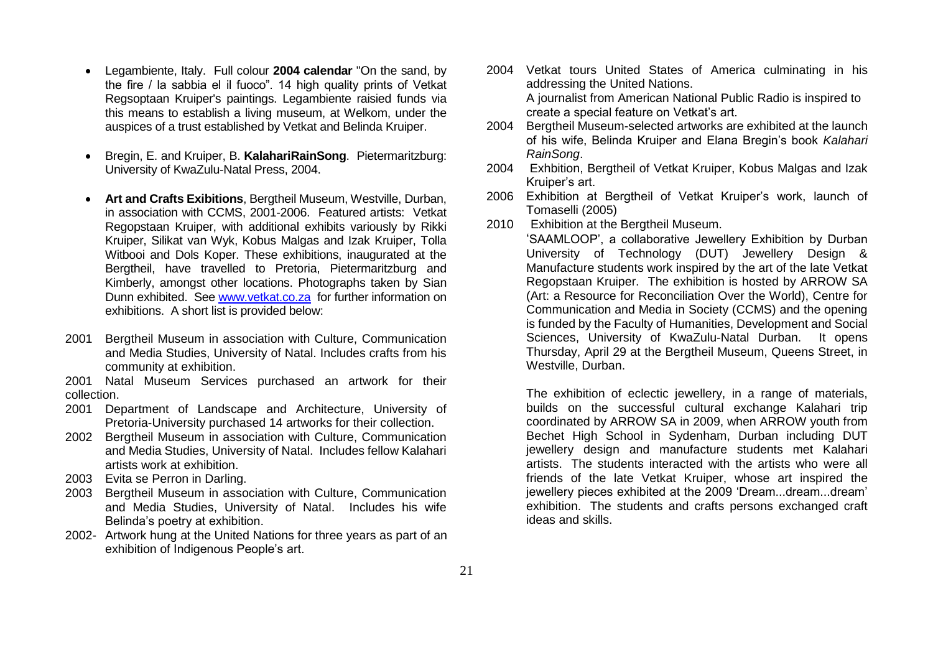- Legambiente, Italy. Full colour **2004 calendar** "On the sand, by the fire / la sabbia el il fuoco". 14 high quality prints of Vetkat Regsoptaan Kruiper's paintings. Legambiente raisied funds via this means to establish a living museum, at Welkom, under the auspices of a trust established by Vetkat and Belinda Kruiper.
- Bregin, E. and Kruiper, B. **KalahariRainSong**. Pietermaritzburg: University of KwaZulu-Natal Press, 2004.
- **Art and Crafts Exibitions**, Bergtheil Museum, Westville, Durban, in association with CCMS, 2001-2006. Featured artists: Vetkat Regopstaan Kruiper, with additional exhibits variously by Rikki Kruiper, Silikat van Wyk, Kobus Malgas and Izak Kruiper, Tolla Witbooi and Dols Koper. These exhibitions, inaugurated at the Bergtheil, have travelled to Pretoria, Pietermaritzburg and Kimberly, amongst other locations. Photographs taken by Sian Dunn exhibited. See [www.vetkat.co.za](http://www.vetkat.co.za/) for further information on exhibitions. A short list is provided below:
- 2001 Bergtheil Museum in association with Culture, Communication and Media Studies, University of Natal. Includes crafts from his community at exhibition.

2001 Natal Museum Services purchased an artwork for their collection.

- 2001 Department of Landscape and Architecture, University of Pretoria-University purchased 14 artworks for their collection.
- 2002 Bergtheil Museum in association with Culture, Communication and Media Studies, University of Natal. Includes fellow Kalahari artists work at exhibition.
- 2003 Evita se Perron in Darling.
- 2003 Bergtheil Museum in association with Culture, Communication and Media Studies, University of Natal. Includes his wife Belinda's poetry at exhibition.
- 2002- Artwork hung at the United Nations for three years as part of an exhibition of Indigenous People's art.
- 2004 Vetkat tours United States of America culminating in his addressing the United Nations. A journalist from American National Public Radio is inspired to create a special feature on Vetkat's art.
- 2004 Bergtheil Museum-selected artworks are exhibited at the launch of his wife, Belinda Kruiper and Elana Bregin's book *Kalahari RainSong*.
- 2004 Exhbition, Bergtheil of Vetkat Kruiper, Kobus Malgas and Izak Kruiper's art.
- 2006 Exhibition at Bergtheil of Vetkat Kruiper's work, launch of Tomaselli (2005)
- 2010 Exhibition at the Bergtheil Museum.

'SAAMLOOP', a collaborative Jewellery Exhibition by Durban University of Technology (DUT) Jewellery Design & Manufacture students work inspired by the art of the late Vetkat Regopstaan Kruiper. The exhibition is hosted by ARROW SA (Art: a Resource for Reconciliation Over the World), Centre for Communication and Media in Society (CCMS) and the opening is funded by the Faculty of Humanities, Development and Social Sciences, University of KwaZulu-Natal Durban. It opens Thursday, April 29 at the Bergtheil Museum, Queens Street, in Westville, Durban.

The exhibition of eclectic jewellery, in a range of materials, builds on the successful cultural exchange Kalahari trip coordinated by ARROW SA in 2009, when ARROW youth from Bechet High School in Sydenham, Durban including DUT jewellery design and manufacture students met Kalahari artists. The students interacted with the artists who were all friends of the late Vetkat Kruiper, whose art inspired the jewellery pieces exhibited at the 2009 'Dream...dream...dream' exhibition. The students and crafts persons exchanged craft ideas and skills.